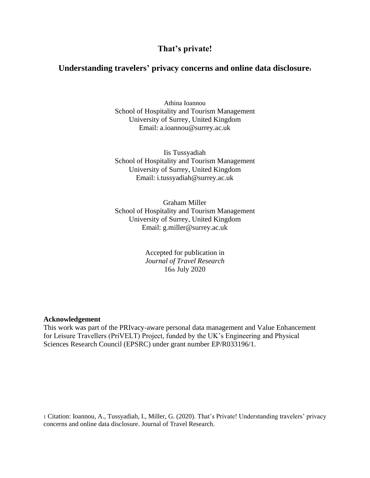## **That's private!**

### **Understanding travelers' privacy concerns and online data disclosure<sup>1</sup>**

Athina Ioannou School of Hospitality and Tourism Management University of Surrey, United Kingdom Email: a.ioannou@surrey.ac.uk

Iis Tussyadiah School of Hospitality and Tourism Management University of Surrey, United Kingdom Email: i.tussyadiah@surrey.ac.uk

Graham Miller School of Hospitality and Tourism Management University of Surrey, United Kingdom Email: g.miller@surrey.ac.uk

> Accepted for publication in *Journal of Travel Research*  16th July 2020

#### **Acknowledgement**

This work was part of the PRIvacy-aware personal data management and Value Enhancement for Leisure Travellers (PriVELT) Project, funded by the UK's Engineering and Physical Sciences Research Council (EPSRC) under grant number EP/R033196/1.

1 Citation: Ioannou, A., Tussyadiah, I., Miller, G. (2020). That's Private! Understanding travelers' privacy concerns and online data disclosure. Journal of Travel Research.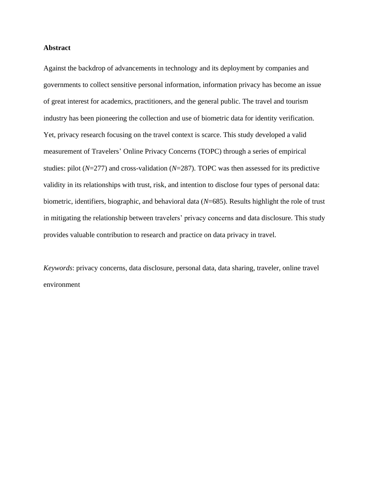#### **Abstract**

Against the backdrop of advancements in technology and its deployment by companies and governments to collect sensitive personal information, information privacy has become an issue of great interest for academics, practitioners, and the general public. The travel and tourism industry has been pioneering the collection and use of biometric data for identity verification. Yet, privacy research focusing on the travel context is scarce. This study developed a valid measurement of Travelers' Online Privacy Concerns (TOPC) through a series of empirical studies: pilot (*N*=277) and cross-validation (*N*=287). TOPC was then assessed for its predictive validity in its relationships with trust, risk, and intention to disclose four types of personal data: biometric, identifiers, biographic, and behavioral data (*N*=685). Results highlight the role of trust in mitigating the relationship between travelers' privacy concerns and data disclosure. This study provides valuable contribution to research and practice on data privacy in travel.

*Keywords*: privacy concerns, data disclosure, personal data, data sharing, traveler, online travel environment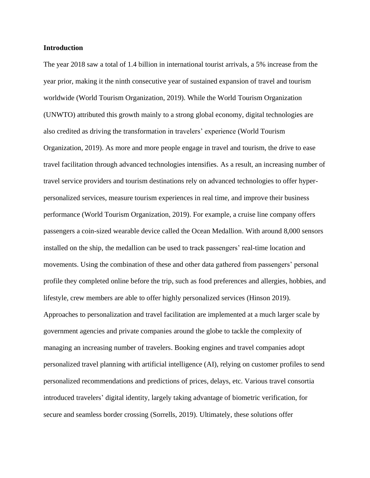#### **Introduction**

The year 2018 saw a total of 1.4 billion in international tourist arrivals, a 5% increase from the year prior, making it the ninth consecutive year of sustained expansion of travel and tourism worldwide (World Tourism Organization, 2019). While the World Tourism Organization (UNWTO) attributed this growth mainly to a strong global economy, digital technologies are also credited as driving the transformation in travelers' experience (World Tourism Organization, 2019). As more and more people engage in travel and tourism, the drive to ease travel facilitation through advanced technologies intensifies. As a result, an increasing number of travel service providers and tourism destinations rely on advanced technologies to offer hyperpersonalized services, measure tourism experiences in real time, and improve their business performance (World Tourism Organization, 2019). For example, a cruise line company offers passengers a coin-sized wearable device called the Ocean Medallion. With around 8,000 sensors installed on the ship, the medallion can be used to track passengers' real-time location and movements. Using the combination of these and other data gathered from passengers' personal profile they completed online before the trip, such as food preferences and allergies, hobbies, and lifestyle, crew members are able to offer highly personalized services (Hinson 2019). Approaches to personalization and travel facilitation are implemented at a much larger scale by government agencies and private companies around the globe to tackle the complexity of managing an increasing number of travelers. Booking engines and travel companies adopt personalized travel planning with artificial intelligence (AI), relying on customer profiles to send personalized recommendations and predictions of prices, delays, etc. Various travel consortia introduced travelers' digital identity, largely taking advantage of biometric verification, for secure and seamless border crossing (Sorrells, 2019). Ultimately, these solutions offer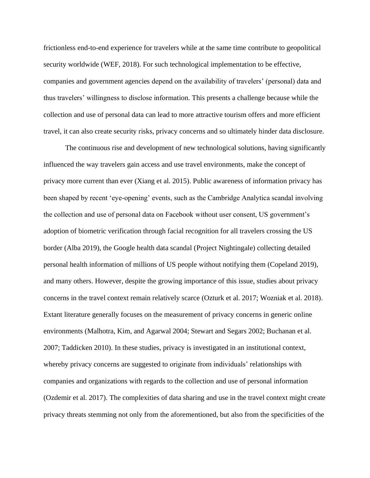frictionless end-to-end experience for travelers while at the same time contribute to geopolitical security worldwide (WEF, 2018). For such technological implementation to be effective, companies and government agencies depend on the availability of travelers' (personal) data and thus travelers' willingness to disclose information. This presents a challenge because while the collection and use of personal data can lead to more attractive tourism offers and more efficient travel, it can also create security risks, privacy concerns and so ultimately hinder data disclosure.

The continuous rise and development of new technological solutions, having significantly influenced the way travelers gain access and use travel environments, make the concept of privacy more current than ever (Xiang et al. 2015). Public awareness of information privacy has been shaped by recent 'eye-opening' events, such as the Cambridge Analytica scandal involving the collection and use of personal data on Facebook without user consent, US government's adoption of biometric verification through facial recognition for all travelers crossing the US border (Alba 2019), the Google health data scandal (Project Nightingale) collecting detailed personal health information of millions of US people without notifying them (Copeland 2019), and many others. However, despite the growing importance of this issue, studies about privacy concerns in the travel context remain relatively scarce (Ozturk et al. 2017; Wozniak et al. 2018). Extant literature generally focuses on the measurement of privacy concerns in generic online environments (Malhotra, Kim, and Agarwal 2004; Stewart and Segars 2002; Buchanan et al. 2007; Taddicken 2010). In these studies, privacy is investigated in an institutional context, whereby privacy concerns are suggested to originate from individuals' relationships with companies and organizations with regards to the collection and use of personal information (Ozdemir et al. 2017). The complexities of data sharing and use in the travel context might create privacy threats stemming not only from the aforementioned, but also from the specificities of the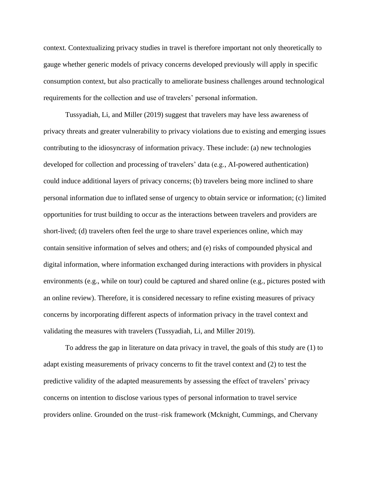context. Contextualizing privacy studies in travel is therefore important not only theoretically to gauge whether generic models of privacy concerns developed previously will apply in specific consumption context, but also practically to ameliorate business challenges around technological requirements for the collection and use of travelers' personal information.

Tussyadiah, Li, and Miller (2019) suggest that travelers may have less awareness of privacy threats and greater vulnerability to privacy violations due to existing and emerging issues contributing to the idiosyncrasy of information privacy. These include: (a) new technologies developed for collection and processing of travelers' data (e.g., AI-powered authentication) could induce additional layers of privacy concerns; (b) travelers being more inclined to share personal information due to inflated sense of urgency to obtain service or information; (c) limited opportunities for trust building to occur as the interactions between travelers and providers are short-lived; (d) travelers often feel the urge to share travel experiences online, which may contain sensitive information of selves and others; and (e) risks of compounded physical and digital information, where information exchanged during interactions with providers in physical environments (e.g., while on tour) could be captured and shared online (e.g., pictures posted with an online review). Therefore, it is considered necessary to refine existing measures of privacy concerns by incorporating different aspects of information privacy in the travel context and validating the measures with travelers (Tussyadiah, Li, and Miller 2019).

To address the gap in literature on data privacy in travel, the goals of this study are (1) to adapt existing measurements of privacy concerns to fit the travel context and (2) to test the predictive validity of the adapted measurements by assessing the effect of travelers' privacy concerns on intention to disclose various types of personal information to travel service providers online. Grounded on the trust–risk framework (Mcknight, Cummings, and Chervany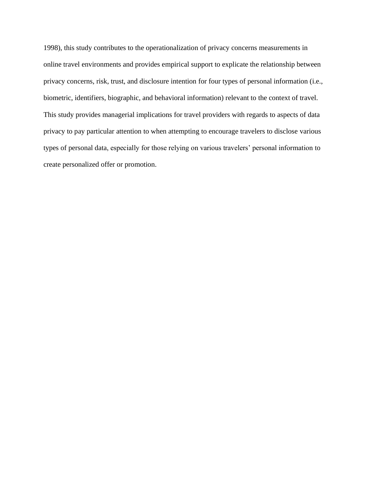1998), this study contributes to the operationalization of privacy concerns measurements in online travel environments and provides empirical support to explicate the relationship between privacy concerns, risk, trust, and disclosure intention for four types of personal information (i.e., biometric, identifiers, biographic, and behavioral information) relevant to the context of travel. This study provides managerial implications for travel providers with regards to aspects of data privacy to pay particular attention to when attempting to encourage travelers to disclose various types of personal data, especially for those relying on various travelers' personal information to create personalized offer or promotion.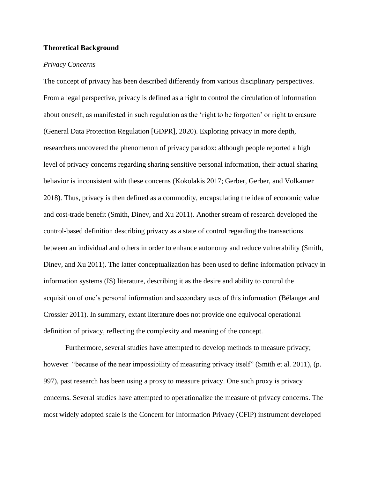#### **Theoretical Background**

#### *Privacy Concerns*

The concept of privacy has been described differently from various disciplinary perspectives. From a legal perspective, privacy is defined as a right to control the circulation of information about oneself, as manifested in such regulation as the 'right to be forgotten' or right to erasure (General Data Protection Regulation [GDPR], 2020). Exploring privacy in more depth, researchers uncovered the phenomenon of privacy paradox: although people reported a high level of privacy concerns regarding sharing sensitive personal information, their actual sharing behavior is inconsistent with these concerns (Kokolakis 2017; Gerber, Gerber, and Volkamer 2018). Thus, privacy is then defined as a commodity, encapsulating the idea of economic value and cost-trade benefit (Smith, Dinev, and Xu 2011). Another stream of research developed the control-based definition describing privacy as a state of control regarding the transactions between an individual and others in order to enhance autonomy and reduce vulnerability (Smith, Dinev, and Xu 2011). The latter conceptualization has been used to define information privacy in information systems (IS) literature, describing it as the desire and ability to control the acquisition of one's personal information and secondary uses of this information (Bélanger and Crossler 2011). In summary, extant literature does not provide one equivocal operational definition of privacy, reflecting the complexity and meaning of the concept.

Furthermore, several studies have attempted to develop methods to measure privacy; however "because of the near impossibility of measuring privacy itself" (Smith et al. 2011), (p. 997), past research has been using a proxy to measure privacy. One such proxy is privacy concerns. Several studies have attempted to operationalize the measure of privacy concerns. The most widely adopted scale is the Concern for Information Privacy (CFIP) instrument developed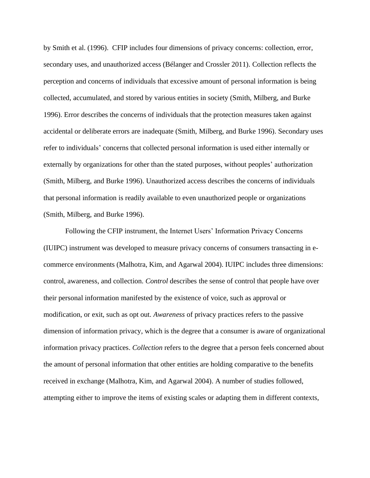by Smith et al. (1996). CFIP includes four dimensions of privacy concerns: collection, error, secondary uses, and unauthorized access (Bélanger and Crossler 2011). Collection reflects the perception and concerns of individuals that excessive amount of personal information is being collected, accumulated, and stored by various entities in society (Smith, Milberg, and Burke 1996). Error describes the concerns of individuals that the protection measures taken against accidental or deliberate errors are inadequate (Smith, Milberg, and Burke 1996). Secondary uses refer to individuals' concerns that collected personal information is used either internally or externally by organizations for other than the stated purposes, without peoples' authorization (Smith, Milberg, and Burke 1996). Unauthorized access describes the concerns of individuals that personal information is readily available to even unauthorized people or organizations (Smith, Milberg, and Burke 1996).

Following the CFIP instrument, the Internet Users' Information Privacy Concerns (IUIPC) instrument was developed to measure privacy concerns of consumers transacting in ecommerce environments (Malhotra, Kim, and Agarwal 2004). IUIPC includes three dimensions: control, awareness, and collection. *Control* describes the sense of control that people have over their personal information manifested by the existence of voice, such as approval or modification, or exit, such as opt out. *Awareness* of privacy practices refers to the passive dimension of information privacy, which is the degree that a consumer is aware of organizational information privacy practices. *Collection* refers to the degree that a person feels concerned about the amount of personal information that other entities are holding comparative to the benefits received in exchange (Malhotra, Kim, and Agarwal 2004). A number of studies followed, attempting either to improve the items of existing scales or adapting them in different contexts,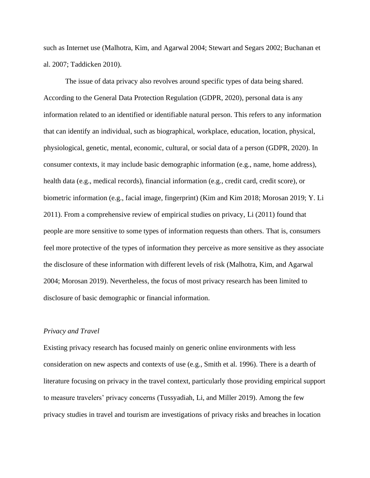such as Internet use (Malhotra, Kim, and Agarwal 2004; Stewart and Segars 2002; Buchanan et al. 2007; Taddicken 2010).

The issue of data privacy also revolves around specific types of data being shared. According to the General Data Protection Regulation (GDPR, 2020), personal data is any information related to an identified or identifiable natural person. This refers to any information that can identify an individual, such as biographical, workplace, education, location, physical, physiological, genetic, mental, economic, cultural, or social data of a person (GDPR, 2020). In consumer contexts, it may include basic demographic information (e.g., name, home address), health data (e.g., medical records), financial information (e.g., credit card, credit score), or biometric information (e.g., facial image, fingerprint) (Kim and Kim 2018; Morosan 2019; Y. Li 2011). From a comprehensive review of empirical studies on privacy, Li (2011) found that people are more sensitive to some types of information requests than others. That is, consumers feel more protective of the types of information they perceive as more sensitive as they associate the disclosure of these information with different levels of risk (Malhotra, Kim, and Agarwal 2004; Morosan 2019). Nevertheless, the focus of most privacy research has been limited to disclosure of basic demographic or financial information.

#### *Privacy and Travel*

Existing privacy research has focused mainly on generic online environments with less consideration on new aspects and contexts of use (e.g., Smith et al. 1996). There is a dearth of literature focusing on privacy in the travel context, particularly those providing empirical support to measure travelers' privacy concerns (Tussyadiah, Li, and Miller 2019). Among the few privacy studies in travel and tourism are investigations of privacy risks and breaches in location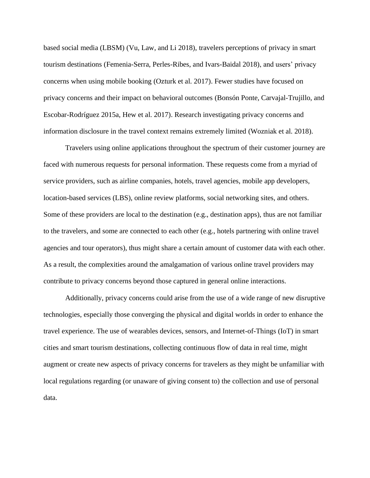based social media (LBSM) (Vu, Law, and Li 2018), travelers perceptions of privacy in smart tourism destinations (Femenia-Serra, Perles-Ribes, and Ivars-Baidal 2018), and users' privacy concerns when using mobile booking (Ozturk et al. 2017). Fewer studies have focused on privacy concerns and their impact on behavioral outcomes (Bonsón Ponte, Carvajal-Trujillo, and Escobar-Rodríguez 2015a, Hew et al. 2017). Research investigating privacy concerns and information disclosure in the travel context remains extremely limited (Wozniak et al. 2018).

Travelers using online applications throughout the spectrum of their customer journey are faced with numerous requests for personal information. These requests come from a myriad of service providers, such as airline companies, hotels, travel agencies, mobile app developers, location-based services (LBS), online review platforms, social networking sites, and others. Some of these providers are local to the destination (e.g., destination apps), thus are not familiar to the travelers, and some are connected to each other (e.g., hotels partnering with online travel agencies and tour operators), thus might share a certain amount of customer data with each other. As a result, the complexities around the amalgamation of various online travel providers may contribute to privacy concerns beyond those captured in general online interactions.

Additionally, privacy concerns could arise from the use of a wide range of new disruptive technologies, especially those converging the physical and digital worlds in order to enhance the travel experience. The use of wearables devices, sensors, and Internet-of-Things (IoT) in smart cities and smart tourism destinations, collecting continuous flow of data in real time, might augment or create new aspects of privacy concerns for travelers as they might be unfamiliar with local regulations regarding (or unaware of giving consent to) the collection and use of personal data.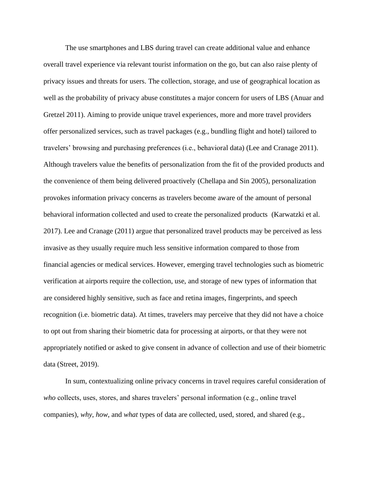The use smartphones and LBS during travel can create additional value and enhance overall travel experience via relevant tourist information on the go, but can also raise plenty of privacy issues and threats for users. The collection, storage, and use of geographical location as well as the probability of privacy abuse constitutes a major concern for users of LBS (Anuar and Gretzel 2011). Aiming to provide unique travel experiences, more and more travel providers offer personalized services, such as travel packages (e.g., bundling flight and hotel) tailored to travelers' browsing and purchasing preferences (i.e., behavioral data) (Lee and Cranage 2011). Although travelers value the benefits of personalization from the fit of the provided products and the convenience of them being delivered proactively (Chellapa and Sin 2005), personalization provokes information privacy concerns as travelers become aware of the amount of personal behavioral information collected and used to create the personalized products (Karwatzki et al. 2017). Lee and Cranage (2011) argue that personalized travel products may be perceived as less invasive as they usually require much less sensitive information compared to those from financial agencies or medical services. However, emerging travel technologies such as biometric verification at airports require the collection, use, and storage of new types of information that are considered highly sensitive, such as face and retina images, fingerprints, and speech recognition (i.e. biometric data). At times, travelers may perceive that they did not have a choice to opt out from sharing their biometric data for processing at airports, or that they were not appropriately notified or asked to give consent in advance of collection and use of their biometric data (Street, 2019).

In sum, contextualizing online privacy concerns in travel requires careful consideration of *who* collects, uses, stores, and shares travelers' personal information (e.g., online travel companies), *why*, *how*, and *what* types of data are collected, used, stored, and shared (e.g.,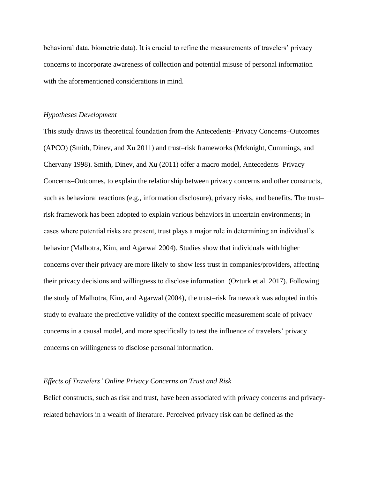behavioral data, biometric data). It is crucial to refine the measurements of travelers' privacy concerns to incorporate awareness of collection and potential misuse of personal information with the aforementioned considerations in mind.

#### *Hypotheses Development*

This study draws its theoretical foundation from the Antecedents–Privacy Concerns–Outcomes (APCO) (Smith, Dinev, and Xu 2011) and trust–risk frameworks (Mcknight, Cummings, and Chervany 1998). Smith, Dinev, and Xu (2011) offer a macro model, Antecedents–Privacy Concerns–Outcomes, to explain the relationship between privacy concerns and other constructs, such as behavioral reactions (e.g., information disclosure), privacy risks, and benefits. The trust– risk framework has been adopted to explain various behaviors in uncertain environments; in cases where potential risks are present, trust plays a major role in determining an individual's behavior (Malhotra, Kim, and Agarwal 2004). Studies show that individuals with higher concerns over their privacy are more likely to show less trust in companies/providers, affecting their privacy decisions and willingness to disclose information (Ozturk et al. 2017). Following the study of Malhotra, Kim, and Agarwal (2004), the trust–risk framework was adopted in this study to evaluate the predictive validity of the context specific measurement scale of privacy concerns in a causal model, and more specifically to test the influence of travelers' privacy concerns on willingeness to disclose personal information.

#### *Effects of Travelers' Online Privacy Concerns on Trust and Risk*

Belief constructs, such as risk and trust, have been associated with privacy concerns and privacyrelated behaviors in a wealth of literature. Perceived privacy risk can be defined as the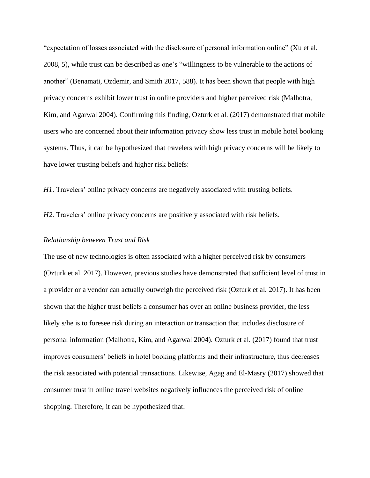"expectation of losses associated with the disclosure of personal information online" (Xu et al. 2008, 5), while trust can be described as one's "willingness to be vulnerable to the actions of another" (Benamati, Ozdemir, and Smith 2017, 588). It has been shown that people with high privacy concerns exhibit lower trust in online providers and higher perceived risk (Malhotra, Kim, and Agarwal 2004). Confirming this finding, Ozturk et al. (2017) demonstrated that mobile users who are concerned about their information privacy show less trust in mobile hotel booking systems. Thus, it can be hypothesized that travelers with high privacy concerns will be likely to have lower trusting beliefs and higher risk beliefs:

*H1*. Travelers' online privacy concerns are negatively associated with trusting beliefs.

*H2*. Travelers' online privacy concerns are positively associated with risk beliefs.

#### *Relationship between Trust and Risk*

The use of new technologies is often associated with a higher perceived risk by consumers (Ozturk et al. 2017). However, previous studies have demonstrated that sufficient level of trust in a provider or a vendor can actually outweigh the perceived risk (Ozturk et al. 2017). It has been shown that the higher trust beliefs a consumer has over an online business provider, the less likely s/he is to foresee risk during an interaction or transaction that includes disclosure of personal information (Malhotra, Kim, and Agarwal 2004). Ozturk et al. (2017) found that trust improves consumers' beliefs in hotel booking platforms and their infrastructure, thus decreases the risk associated with potential transactions. Likewise, Agag and El-Masry (2017) showed that consumer trust in online travel websites negatively influences the perceived risk of online shopping. Therefore, it can be hypothesized that: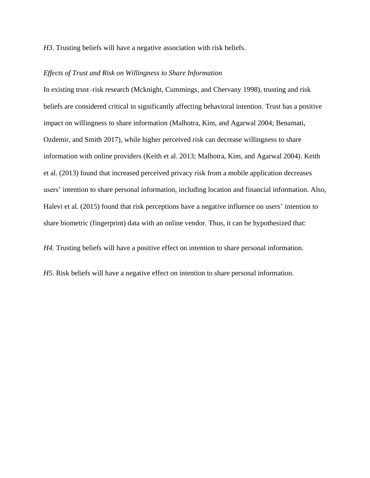*H3*. Trusting beliefs will have a negative association with risk beliefs.

#### *Effects of Trust and Risk on Willingness to Share Information*

In existing trust–risk research (Mcknight, Cummings, and Chervany 1998), trusting and risk beliefs are considered critical in significantly affecting behavioral intention. Trust has a positive impact on willingness to share information (Malhotra, Kim, and Agarwal 2004; Benamati, Ozdemir, and Smith 2017), while higher perceived risk can decrease willingness to share information with online providers (Keith et al. 2013; Malhotra, Kim, and Agarwal 2004). Keith et al. (2013) found that increased perceived privacy risk from a mobile application decreases users' intention to share personal information, including location and financial information. Also, Halevi et al. (2015) found that risk perceptions have a negative influence on users' intention to share biometric (fingerprint) data with an online vendor. Thus, it can be hypothesized that:

*H4.* Trusting beliefs will have a positive effect on intention to share personal information.

*H5.* Risk beliefs will have a negative effect on intention to share personal information.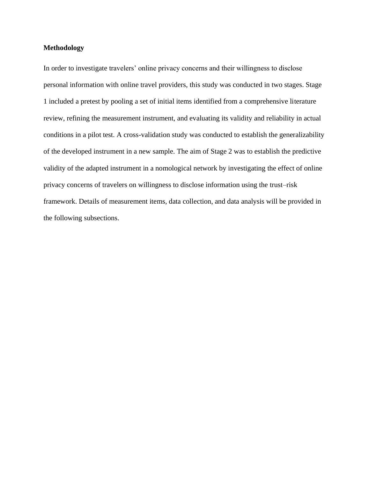#### **Methodology**

In order to investigate travelers' online privacy concerns and their willingness to disclose personal information with online travel providers, this study was conducted in two stages. Stage 1 included a pretest by pooling a set of initial items identified from a comprehensive literature review, refining the measurement instrument, and evaluating its validity and reliability in actual conditions in a pilot test. A cross-validation study was conducted to establish the generalizability of the developed instrument in a new sample. The aim of Stage 2 was to establish the predictive validity of the adapted instrument in a nomological network by investigating the effect of online privacy concerns of travelers on willingness to disclose information using the trust–risk framework. Details of measurement items, data collection, and data analysis will be provided in the following subsections.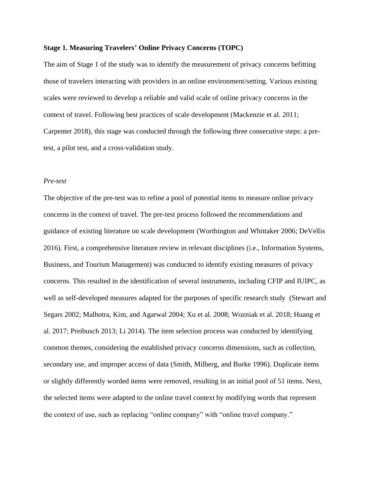#### **Stage 1. Measuring Travelers' Online Privacy Concerns (TOPC)**

The aim of Stage 1 of the study was to identify the measurement of privacy concerns befitting those of travelers interacting with providers in an online environment/setting. Various existing scales were reviewed to develop a reliable and valid scale of online privacy concerns in the context of travel. Following best practices of scale development (Mackenzie et al. 2011; Carpenter 2018), this stage was conducted through the following three consecutive steps: a pretest, a pilot test, and a cross-validation study.

#### *Pre-test*

The objective of the pre-test was to refine a pool of potential items to measure online privacy concerns in the context of travel. The pre-test process followed the recommendations and guidance of existing literature on scale development (Worthington and Whittaker 2006; DeVellis 2016). First, a comprehensive literature review in relevant disciplines (i.e., Information Systems, Business, and Tourism Management) was conducted to identify existing measures of privacy concerns. This resulted in the identification of several instruments, including CFIP and IUIPC, as well as self-developed measures adapted for the purposes of specific research study (Stewart and Segars 2002; Malhotra, Kim, and Agarwal 2004; Xu et al. 2008; Wozniak et al. 2018; Huang et al. 2017; Preibusch 2013; Li 2014). The item selection process was conducted by identifying common themes, considering the established privacy concerns dimensions, such as collection, secondary use, and improper access of data (Smith, Milberg, and Burke 1996). Duplicate items or slightly differently worded items were removed, resulting in an initial pool of 51 items. Next, the selected items were adapted to the online travel context by modifying words that represent the context of use, such as replacing "online company" with "online travel company."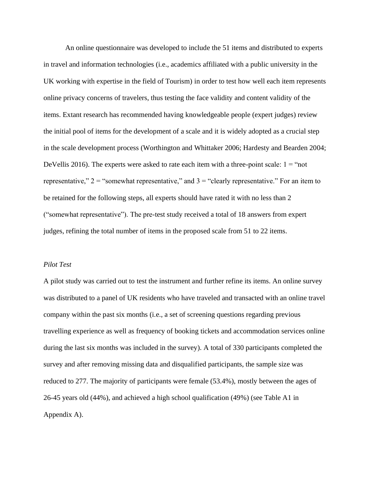An online questionnaire was developed to include the 51 items and distributed to experts in travel and information technologies (i.e., academics affiliated with a public university in the UK working with expertise in the field of Tourism) in order to test how well each item represents online privacy concerns of travelers, thus testing the face validity and content validity of the items. Extant research has recommended having knowledgeable people (expert judges) review the initial pool of items for the development of a scale and it is widely adopted as a crucial step in the scale development process (Worthington and Whittaker 2006; Hardesty and Bearden 2004; DeVellis 2016). The experts were asked to rate each item with a three-point scale:  $1 =$  "not" representative,"  $2 =$  "somewhat representative," and  $3 =$  "clearly representative." For an item to be retained for the following steps, all experts should have rated it with no less than 2 ("somewhat representative"). The pre-test study received a total of 18 answers from expert judges, refining the total number of items in the proposed scale from 51 to 22 items.

#### *Pilot Test*

A pilot study was carried out to test the instrument and further refine its items. An online survey was distributed to a panel of UK residents who have traveled and transacted with an online travel company within the past six months (i.e., a set of screening questions regarding previous travelling experience as well as frequency of booking tickets and accommodation services online during the last six months was included in the survey). A total of 330 participants completed the survey and after removing missing data and disqualified participants, the sample size was reduced to 277. The majority of participants were female (53.4%), mostly between the ages of 26-45 years old (44%), and achieved a high school qualification (49%) (see Table A1 in Appendix A).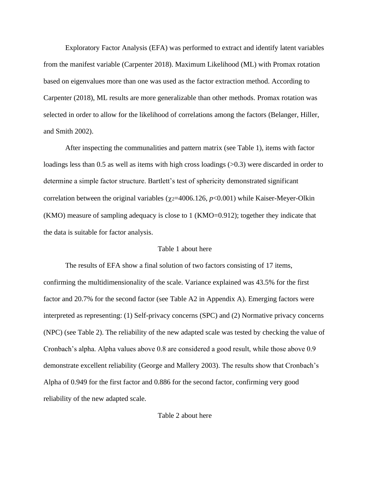Exploratory Factor Analysis (EFA) was performed to extract and identify latent variables from the manifest variable (Carpenter 2018). Maximum Likelihood (ML) with Promax rotation based on eigenvalues more than one was used as the factor extraction method. According to Carpenter (2018), ML results are more generalizable than other methods. Promax rotation was selected in order to allow for the likelihood of correlations among the factors (Belanger, Hiller, and Smith 2002).

After inspecting the communalities and pattern matrix (see Table 1), items with factor loadings less than 0.5 as well as items with high cross loadings  $(>0.3)$  were discarded in order to determine a simple factor structure. Bartlett's test of sphericity demonstrated significant correlation between the original variables ( $\chi$ <sub>2</sub>=4006.126, *p*<0.001) while Kaiser-Meyer-Olkin (KMO) measure of sampling adequacy is close to 1 (KMO=0.912); together they indicate that the data is suitable for factor analysis.

#### Table 1 about here

The results of EFA show a final solution of two factors consisting of 17 items, confirming the multidimensionality of the scale. Variance explained was 43.5% for the first factor and 20.7% for the second factor (see Table A2 in Appendix A). Emerging factors were interpreted as representing: (1) Self-privacy concerns (SPC) and (2) Normative privacy concerns (NPC) (see Table 2). The reliability of the new adapted scale was tested by checking the value of Cronbach's alpha. Alpha values above 0.8 are considered a good result, while those above 0.9 demonstrate excellent reliability (George and Mallery 2003). The results show that Cronbach's Alpha of 0.949 for the first factor and 0.886 for the second factor, confirming very good reliability of the new adapted scale.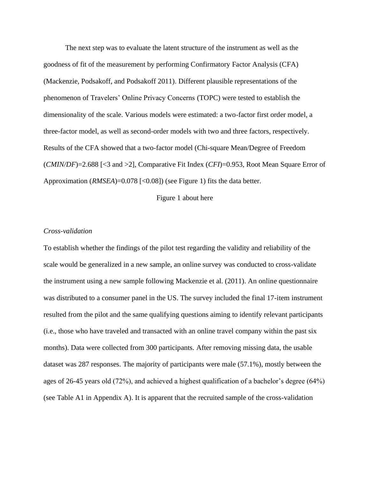The next step was to evaluate the latent structure of the instrument as well as the goodness of fit of the measurement by performing Confirmatory Factor Analysis (CFA) (Mackenzie, Podsakoff, and Podsakoff 2011). Different plausible representations of the phenomenon of Travelers' Online Privacy Concerns (TOPC) were tested to establish the dimensionality of the scale. Various models were estimated: a two-factor first order model, a three-factor model, as well as second-order models with two and three factors, respectively. Results of the CFA showed that a two-factor model (Chi-square Mean/Degree of Freedom (*CMIN/DF*)=2.688 [<3 and >2], Comparative Fit Index (*CFI*)=0.953, Root Mean Square Error of Approximation (*RMSEA*)=0.078 [<0.08]) (see Figure 1) fits the data better.

Figure 1 about here

#### *Cross-validation*

To establish whether the findings of the pilot test regarding the validity and reliability of the scale would be generalized in a new sample, an online survey was conducted to cross-validate the instrument using a new sample following Mackenzie et al. (2011). An online questionnaire was distributed to a consumer panel in the US. The survey included the final 17-item instrument resulted from the pilot and the same qualifying questions aiming to identify relevant participants (i.e., those who have traveled and transacted with an online travel company within the past six months). Data were collected from 300 participants. After removing missing data, the usable dataset was 287 responses. The majority of participants were male (57.1%), mostly between the ages of 26-45 years old (72%), and achieved a highest qualification of a bachelor's degree (64%) (see Table A1 in Appendix A). It is apparent that the recruited sample of the cross-validation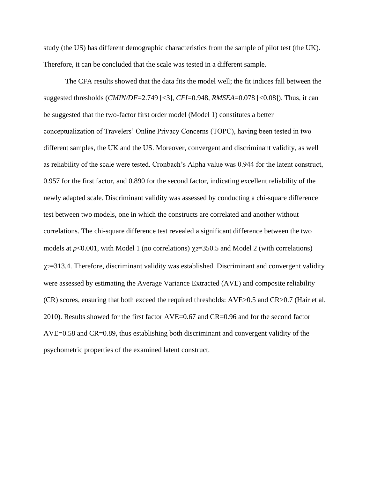study (the US) has different demographic characteristics from the sample of pilot test (the UK). Therefore, it can be concluded that the scale was tested in a different sample.

The CFA results showed that the data fits the model well; the fit indices fall between the suggested thresholds (*CMIN/DF*=2.749 [<3], *CFI*=0.948, *RMSEA*=0.078 [<0.08]). Thus, it can be suggested that the two-factor first order model (Model 1) constitutes a better conceptualization of Travelers' Online Privacy Concerns (TOPC), having been tested in two different samples, the UK and the US. Moreover, convergent and discriminant validity, as well as reliability of the scale were tested. Cronbach's Alpha value was 0.944 for the latent construct, 0.957 for the first factor, and 0.890 for the second factor, indicating excellent reliability of the newly adapted scale. Discriminant validity was assessed by conducting a chi-square difference test between two models, one in which the constructs are correlated and another without correlations. The chi-square difference test revealed a significant difference between the two models at  $p<0.001$ , with Model 1 (no correlations)  $\chi$ <sup>2=350.5</sup> and Model 2 (with correlations)  $\chi$ <sup>2=313.4.</sup> Therefore, discriminant validity was established. Discriminant and convergent validity were assessed by estimating the Average Variance Extracted (AVE) and composite reliability (CR) scores, ensuring that both exceed the required thresholds: AVE>0.5 and CR>0.7 (Hair et al. 2010). Results showed for the first factor AVE=0.67 and CR=0.96 and for the second factor AVE=0.58 and CR=0.89, thus establishing both discriminant and convergent validity of the psychometric properties of the examined latent construct.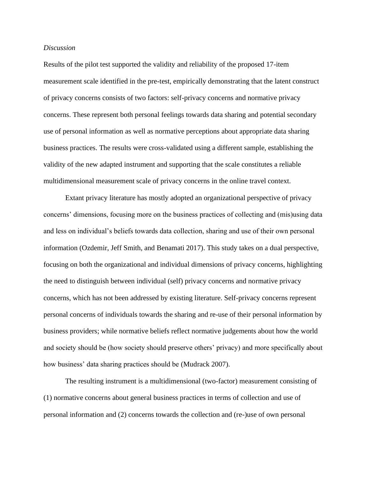#### *Discussion*

Results of the pilot test supported the validity and reliability of the proposed 17-item measurement scale identified in the pre-test, empirically demonstrating that the latent construct of privacy concerns consists of two factors: self-privacy concerns and normative privacy concerns. These represent both personal feelings towards data sharing and potential secondary use of personal information as well as normative perceptions about appropriate data sharing business practices. The results were cross-validated using a different sample, establishing the validity of the new adapted instrument and supporting that the scale constitutes a reliable multidimensional measurement scale of privacy concerns in the online travel context.

Extant privacy literature has mostly adopted an organizational perspective of privacy concerns' dimensions, focusing more on the business practices of collecting and (mis)using data and less on individual's beliefs towards data collection, sharing and use of their own personal information (Ozdemir, Jeff Smith, and Benamati 2017). This study takes on a dual perspective, focusing on both the organizational and individual dimensions of privacy concerns, highlighting the need to distinguish between individual (self) privacy concerns and normative privacy concerns, which has not been addressed by existing literature. Self-privacy concerns represent personal concerns of individuals towards the sharing and re-use of their personal information by business providers; while normative beliefs reflect normative judgements about how the world and society should be (how society should preserve others' privacy) and more specifically about how business' data sharing practices should be (Mudrack 2007).

The resulting instrument is a multidimensional (two-factor) measurement consisting of (1) normative concerns about general business practices in terms of collection and use of personal information and (2) concerns towards the collection and (re-)use of own personal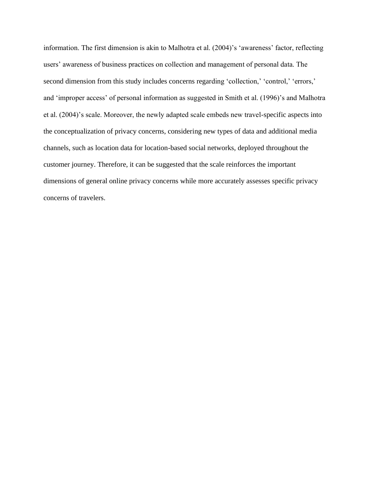information. The first dimension is akin to Malhotra et al. (2004)'s 'awareness' factor, reflecting users' awareness of business practices on collection and management of personal data. The second dimension from this study includes concerns regarding 'collection,' 'control,' 'errors,' and 'improper access' of personal information as suggested in Smith et al. (1996)'s and Malhotra et al. (2004)'s scale. Moreover, the newly adapted scale embeds new travel-specific aspects into the conceptualization of privacy concerns, considering new types of data and additional media channels, such as location data for location-based social networks, deployed throughout the customer journey. Therefore, it can be suggested that the scale reinforces the important dimensions of general online privacy concerns while more accurately assesses specific privacy concerns of travelers.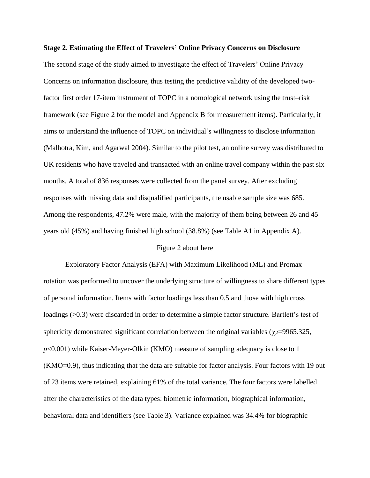# The second stage of the study aimed to investigate the effect of Travelers' Online Privacy Concerns on information disclosure, thus testing the predictive validity of the developed twofactor first order 17-item instrument of TOPC in a nomological network using the trust–risk framework (see Figure 2 for the model and Appendix B for measurement items). Particularly, it aims to understand the influence of TOPC on individual's willingness to disclose information (Malhotra, Kim, and Agarwal 2004). Similar to the pilot test, an online survey was distributed to UK residents who have traveled and transacted with an online travel company within the past six months. A total of 836 responses were collected from the panel survey. After excluding

**Stage 2. Estimating the Effect of Travelers' Online Privacy Concerns on Disclosure** 

Among the respondents, 47.2% were male, with the majority of them being between 26 and 45 years old (45%) and having finished high school (38.8%) (see Table A1 in Appendix A).

responses with missing data and disqualified participants, the usable sample size was 685.

#### Figure 2 about here

Exploratory Factor Analysis (EFA) with Maximum Likelihood (ML) and Promax rotation was performed to uncover the underlying structure of willingness to share different types of personal information. Items with factor loadings less than 0.5 and those with high cross loadings (>0.3) were discarded in order to determine a simple factor structure. Bartlett's test of sphericity demonstrated significant correlation between the original variables ( $\chi$ <sup>2</sup>=9965.325, *p*<0.001) while Kaiser-Meyer-Olkin (KMO) measure of sampling adequacy is close to 1 (KMO=0.9), thus indicating that the data are suitable for factor analysis. Four factors with 19 out of 23 items were retained, explaining 61% of the total variance. The four factors were labelled after the characteristics of the data types: biometric information, biographical information, behavioral data and identifiers (see Table 3). Variance explained was 34.4% for biographic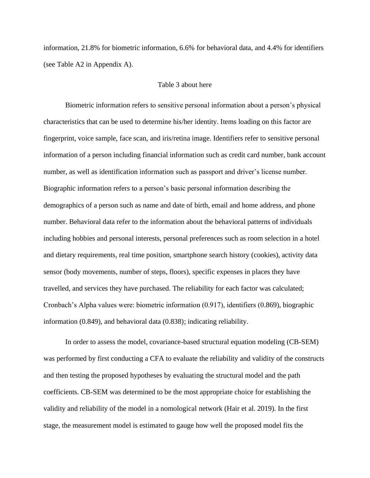information, 21.8% for biometric information, 6.6% for behavioral data, and 4.4% for identifiers (see Table A2 in Appendix A).

#### Table 3 about here

Biometric information refers to sensitive personal information about a person's physical characteristics that can be used to determine his/her identity. Items loading on this factor are fingerprint, voice sample, face scan, and iris/retina image. Identifiers refer to sensitive personal information of a person including financial information such as credit card number, bank account number, as well as identification information such as passport and driver's license number. Biographic information refers to a person's basic personal information describing the demographics of a person such as name and date of birth, email and home address, and phone number. Behavioral data refer to the information about the behavioral patterns of individuals including hobbies and personal interests, personal preferences such as room selection in a hotel and dietary requirements, real time position, smartphone search history (cookies), activity data sensor (body movements, number of steps, floors), specific expenses in places they have travelled, and services they have purchased. The reliability for each factor was calculated; Cronbach's Alpha values were: biometric information (0.917), identifiers (0.869), biographic information (0.849), and behavioral data (0.838); indicating reliability.

In order to assess the model, covariance-based structural equation modeling (CB-SEM) was performed by first conducting a CFA to evaluate the reliability and validity of the constructs and then testing the proposed hypotheses by evaluating the structural model and the path coefficients. CB-SEM was determined to be the most appropriate choice for establishing the validity and reliability of the model in a nomological network (Hair et al. 2019). In the first stage, the measurement model is estimated to gauge how well the proposed model fits the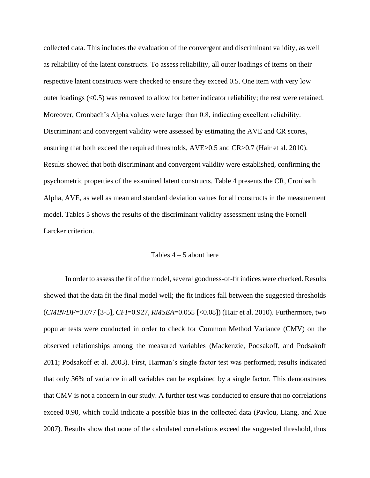collected data. This includes the evaluation of the convergent and discriminant validity, as well as reliability of the latent constructs. To assess reliability, all outer loadings of items on their respective latent constructs were checked to ensure they exceed 0.5. One item with very low outer loadings (<0.5) was removed to allow for better indicator reliability; the rest were retained. Moreover, Cronbach's Alpha values were larger than 0.8, indicating excellent reliability. Discriminant and convergent validity were assessed by estimating the AVE and CR scores, ensuring that both exceed the required thresholds, AVE>0.5 and CR>0.7 (Hair et al. 2010). Results showed that both discriminant and convergent validity were established, confirming the psychometric properties of the examined latent constructs. Table 4 presents the CR, Cronbach Alpha, AVE, as well as mean and standard deviation values for all constructs in the measurement model. Tables 5 shows the results of the discriminant validity assessment using the Fornell– Larcker criterion.

#### Tables  $4 - 5$  about here

In order to assess the fit of the model, several goodness-of-fit indices were checked. Results showed that the data fit the final model well; the fit indices fall between the suggested thresholds (*CMIN/DF*=3.077 [3-5], *CFI*=0.927, *RMSEA*=0.055 [<0.08]) (Hair et al. 2010). Furthermore, two popular tests were conducted in order to check for Common Method Variance (CMV) on the observed relationships among the measured variables (Mackenzie, Podsakoff, and Podsakoff 2011; Podsakoff et al. 2003). First, Harman's single factor test was performed; results indicated that only 36% of variance in all variables can be explained by a single factor. This demonstrates that CMV is not a concern in our study. A further test was conducted to ensure that no correlations exceed 0.90, which could indicate a possible bias in the collected data (Pavlou, Liang, and Xue 2007). Results show that none of the calculated correlations exceed the suggested threshold, thus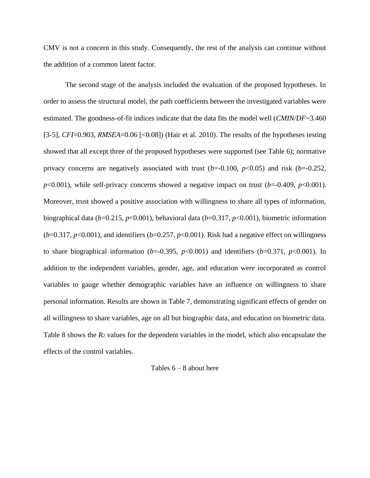CMV is not a concern in this study. Consequently, the rest of the analysis can continue without the addition of a common latent factor.

The second stage of the analysis included the evaluation of the proposed hypotheses. In order to assess the structural model, the path coefficients between the investigated variables were estimated. The goodness-of-fit indices indicate that the data fits the model well (*CMIN/DF*=3.460 [3-5], *CFI*=0.903, *RMSEA*=0.06 [<0.08]) (Hair et al. 2010). The results of the hypotheses testing showed that all except three of the proposed hypotheses were supported (see Table 6); normative privacy concerns are negatively associated with trust  $(b=0.100, p<0.05)$  and risk  $(b=0.252,$  $p<0.001$ ), while self-privacy concerns showed a negative impact on trust ( $b=0.409$ ,  $p<0.001$ ). Moreover, trust showed a positive association with willingness to share all types of information, biographical data (*b*=0.215, *p*<0.001), behavioral data (*b*=0.317, *p*<0.001), biometric information  $(b=0.317, p<0.001)$ , and identifiers ( $b=0.257, p<0.001$ ). Risk had a negative effect on willingness to share biographical information ( $b$ =-0.395,  $p$ <0.001) and identifiers ( $b$ =0.371,  $p$ <0.001). In addition to the independent variables, gender, age, and education were incorporated as control variables to gauge whether demographic variables have an influence on willingness to share personal information. Results are shown in Table 7, demonstrating significant effects of gender on all willingness to share variables, age on all but biographic data, and education on biometric data. Table 8 shows the *R<sup>2</sup>* values for the dependent variables in the model, which also encapsulate the effects of the control variables.

#### Tables  $6 - 8$  about here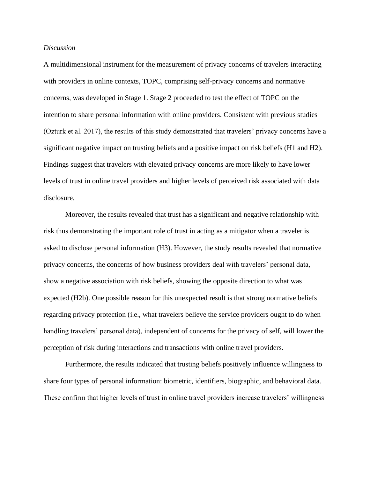#### *Discussion*

A multidimensional instrument for the measurement of privacy concerns of travelers interacting with providers in online contexts, TOPC, comprising self-privacy concerns and normative concerns, was developed in Stage 1. Stage 2 proceeded to test the effect of TOPC on the intention to share personal information with online providers. Consistent with previous studies (Ozturk et al. 2017), the results of this study demonstrated that travelers' privacy concerns have a significant negative impact on trusting beliefs and a positive impact on risk beliefs (H1 and H2). Findings suggest that travelers with elevated privacy concerns are more likely to have lower levels of trust in online travel providers and higher levels of perceived risk associated with data disclosure.

Moreover, the results revealed that trust has a significant and negative relationship with risk thus demonstrating the important role of trust in acting as a mitigator when a traveler is asked to disclose personal information (H3). However, the study results revealed that normative privacy concerns, the concerns of how business providers deal with travelers' personal data, show a negative association with risk beliefs, showing the opposite direction to what was expected (H2b). One possible reason for this unexpected result is that strong normative beliefs regarding privacy protection (i.e., what travelers believe the service providers ought to do when handling travelers' personal data), independent of concerns for the privacy of self, will lower the perception of risk during interactions and transactions with online travel providers.

Furthermore, the results indicated that trusting beliefs positively influence willingness to share four types of personal information: biometric, identifiers, biographic, and behavioral data. These confirm that higher levels of trust in online travel providers increase travelers' willingness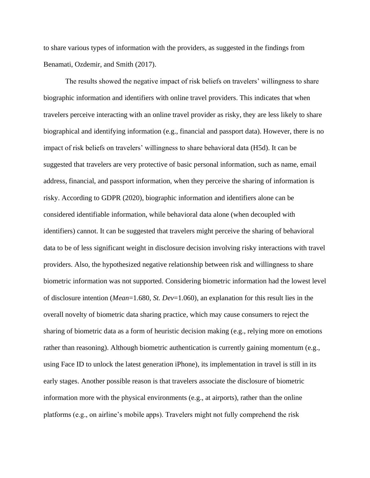to share various types of information with the providers, as suggested in the findings from Benamati, Ozdemir, and Smith (2017).

The results showed the negative impact of risk beliefs on travelers' willingness to share biographic information and identifiers with online travel providers. This indicates that when travelers perceive interacting with an online travel provider as risky, they are less likely to share biographical and identifying information (e.g., financial and passport data). However, there is no impact of risk beliefs on travelers' willingness to share behavioral data (H5d). It can be suggested that travelers are very protective of basic personal information, such as name, email address, financial, and passport information, when they perceive the sharing of information is risky. According to GDPR (2020), biographic information and identifiers alone can be considered identifiable information, while behavioral data alone (when decoupled with identifiers) cannot. It can be suggested that travelers might perceive the sharing of behavioral data to be of less significant weight in disclosure decision involving risky interactions with travel providers. Also, the hypothesized negative relationship between risk and willingness to share biometric information was not supported. Considering biometric information had the lowest level of disclosure intention (*Mean*=1.680, *St. Dev*=1.060), an explanation for this result lies in the overall novelty of biometric data sharing practice, which may cause consumers to reject the sharing of biometric data as a form of heuristic decision making (e.g., relying more on emotions rather than reasoning). Although biometric authentication is currently gaining momentum (e.g., using Face ID to unlock the latest generation iPhone), its implementation in travel is still in its early stages. Another possible reason is that travelers associate the disclosure of biometric information more with the physical environments (e.g., at airports), rather than the online platforms (e.g., on airline's mobile apps). Travelers might not fully comprehend the risk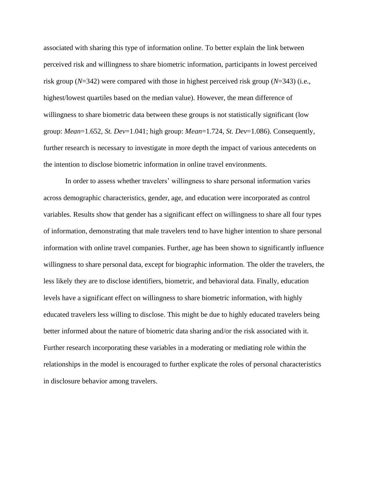associated with sharing this type of information online. To better explain the link between perceived risk and willingness to share biometric information, participants in lowest perceived risk group (*N*=342) were compared with those in highest perceived risk group (*N*=343) (i.e., highest/lowest quartiles based on the median value). However, the mean difference of willingness to share biometric data between these groups is not statistically significant (low group: *Mean*=1.652, *St. Dev*=1.041; high group: *Mean*=1.724, *St. Dev*=1.086). Consequently, further research is necessary to investigate in more depth the impact of various antecedents on the intention to disclose biometric information in online travel environments.

In order to assess whether travelers' willingness to share personal information varies across demographic characteristics, gender, age, and education were incorporated as control variables. Results show that gender has a significant effect on willingness to share all four types of information, demonstrating that male travelers tend to have higher intention to share personal information with online travel companies. Further, age has been shown to significantly influence willingness to share personal data, except for biographic information. The older the travelers, the less likely they are to disclose identifiers, biometric, and behavioral data. Finally, education levels have a significant effect on willingness to share biometric information, with highly educated travelers less willing to disclose. This might be due to highly educated travelers being better informed about the nature of biometric data sharing and/or the risk associated with it. Further research incorporating these variables in a moderating or mediating role within the relationships in the model is encouraged to further explicate the roles of personal characteristics in disclosure behavior among travelers.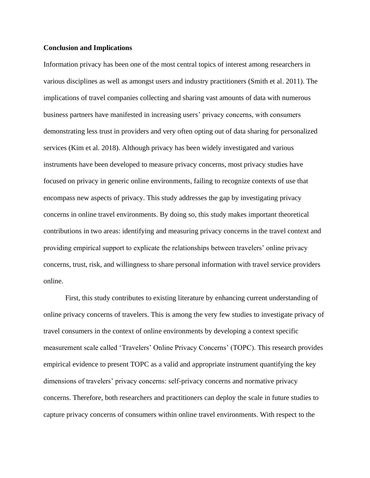#### **Conclusion and Implications**

Information privacy has been one of the most central topics of interest among researchers in various disciplines as well as amongst users and industry practitioners (Smith et al. 2011). The implications of travel companies collecting and sharing vast amounts of data with numerous business partners have manifested in increasing users' privacy concerns, with consumers demonstrating less trust in providers and very often opting out of data sharing for personalized services (Kim et al. 2018). Although privacy has been widely investigated and various instruments have been developed to measure privacy concerns, most privacy studies have focused on privacy in generic online environments, failing to recognize contexts of use that encompass new aspects of privacy. This study addresses the gap by investigating privacy concerns in online travel environments. By doing so, this study makes important theoretical contributions in two areas: identifying and measuring privacy concerns in the travel context and providing empirical support to explicate the relationships between travelers' online privacy concerns, trust, risk, and willingness to share personal information with travel service providers online.

First, this study contributes to existing literature by enhancing current understanding of online privacy concerns of travelers. This is among the very few studies to investigate privacy of travel consumers in the context of online environments by developing a context specific measurement scale called 'Travelers' Online Privacy Concerns' (TOPC). This research provides empirical evidence to present TOPC as a valid and appropriate instrument quantifying the key dimensions of travelers' privacy concerns: self-privacy concerns and normative privacy concerns. Therefore, both researchers and practitioners can deploy the scale in future studies to capture privacy concerns of consumers within online travel environments. With respect to the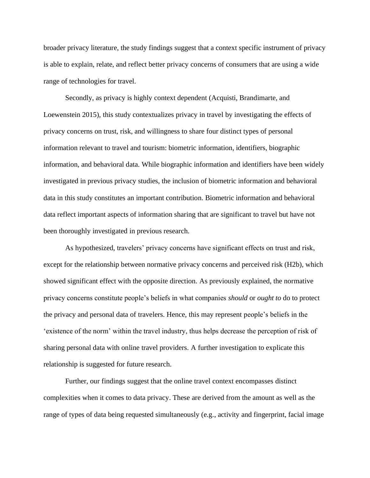broader privacy literature, the study findings suggest that a context specific instrument of privacy is able to explain, relate, and reflect better privacy concerns of consumers that are using a wide range of technologies for travel.

Secondly, as privacy is highly context dependent (Acquisti, Brandimarte, and Loewenstein 2015), this study contextualizes privacy in travel by investigating the effects of privacy concerns on trust, risk, and willingness to share four distinct types of personal information relevant to travel and tourism: biometric information, identifiers, biographic information, and behavioral data. While biographic information and identifiers have been widely investigated in previous privacy studies, the inclusion of biometric information and behavioral data in this study constitutes an important contribution. Biometric information and behavioral data reflect important aspects of information sharing that are significant to travel but have not been thoroughly investigated in previous research.

As hypothesized, travelers' privacy concerns have significant effects on trust and risk, except for the relationship between normative privacy concerns and perceived risk (H2b), which showed significant effect with the opposite direction. As previously explained, the normative privacy concerns constitute people's beliefs in what companies *should* or *ought to* do to protect the privacy and personal data of travelers. Hence, this may represent people's beliefs in the 'existence of the norm' within the travel industry, thus helps decrease the perception of risk of sharing personal data with online travel providers. A further investigation to explicate this relationship is suggested for future research.

Further, our findings suggest that the online travel context encompasses distinct complexities when it comes to data privacy. These are derived from the amount as well as the range of types of data being requested simultaneously (e.g., activity and fingerprint, facial image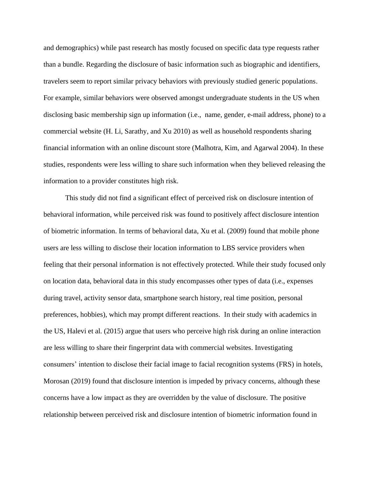and demographics) while past research has mostly focused on specific data type requests rather than a bundle. Regarding the disclosure of basic information such as biographic and identifiers, travelers seem to report similar privacy behaviors with previously studied generic populations. For example, similar behaviors were observed amongst undergraduate students in the US when disclosing basic membership sign up information (i.e., name, gender, e-mail address, phone) to a commercial website (H. Li, Sarathy, and Xu 2010) as well as household respondents sharing financial information with an online discount store (Malhotra, Kim, and Agarwal 2004). In these studies, respondents were less willing to share such information when they believed releasing the information to a provider constitutes high risk.

This study did not find a significant effect of perceived risk on disclosure intention of behavioral information, while perceived risk was found to positively affect disclosure intention of biometric information. In terms of behavioral data, Xu et al. (2009) found that mobile phone users are less willing to disclose their location information to LBS service providers when feeling that their personal information is not effectively protected. While their study focused only on location data, behavioral data in this study encompasses other types of data (i.e., expenses during travel, activity sensor data, smartphone search history, real time position, personal preferences, hobbies), which may prompt different reactions. In their study with academics in the US, Halevi et al. (2015) argue that users who perceive high risk during an online interaction are less willing to share their fingerprint data with commercial websites. Investigating consumers' intention to disclose their facial image to facial recognition systems (FRS) in hotels, Morosan (2019) found that disclosure intention is impeded by privacy concerns, although these concerns have a low impact as they are overridden by the value of disclosure. The positive relationship between perceived risk and disclosure intention of biometric information found in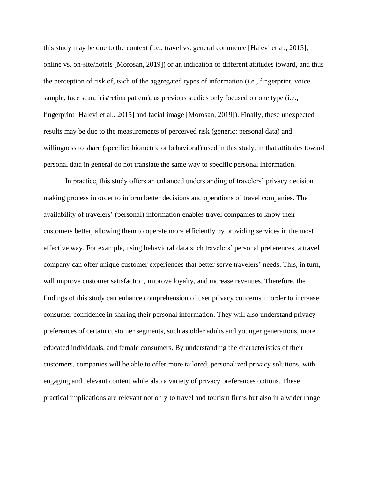this study may be due to the context (i.e., travel vs. general commerce [Halevi et al., 2015]; online vs. on-site/hotels [Morosan, 2019]) or an indication of different attitudes toward, and thus the perception of risk of, each of the aggregated types of information (i.e., fingerprint, voice sample, face scan, iris/retina pattern), as previous studies only focused on one type (i.e., fingerprint [Halevi et al., 2015] and facial image [Morosan, 2019]). Finally, these unexpected results may be due to the measurements of perceived risk (generic: personal data) and willingness to share (specific: biometric or behavioral) used in this study, in that attitudes toward personal data in general do not translate the same way to specific personal information.

In practice, this study offers an enhanced understanding of travelers' privacy decision making process in order to inform better decisions and operations of travel companies. The availability of travelers' (personal) information enables travel companies to know their customers better, allowing them to operate more efficiently by providing services in the most effective way. For example, using behavioral data such travelers' personal preferences, a travel company can offer unique customer experiences that better serve travelers' needs. This, in turn, will improve customer satisfaction, improve loyalty, and increase revenues. Therefore, the findings of this study can enhance comprehension of user privacy concerns in order to increase consumer confidence in sharing their personal information. They will also understand privacy preferences of certain customer segments, such as older adults and younger generations, more educated individuals, and female consumers. By understanding the characteristics of their customers, companies will be able to offer more tailored, personalized privacy solutions, with engaging and relevant content while also a variety of privacy preferences options. These practical implications are relevant not only to travel and tourism firms but also in a wider range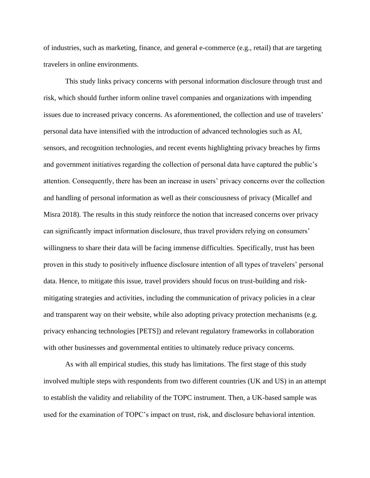of industries, such as marketing, finance, and general e-commerce (e.g., retail) that are targeting travelers in online environments.

This study links privacy concerns with personal information disclosure through trust and risk, which should further inform online travel companies and organizations with impending issues due to increased privacy concerns. As aforementioned, the collection and use of travelers' personal data have intensified with the introduction of advanced technologies such as AI, sensors, and recognition technologies, and recent events highlighting privacy breaches by firms and government initiatives regarding the collection of personal data have captured the public's attention. Consequently, there has been an increase in users' privacy concerns over the collection and handling of personal information as well as their consciousness of privacy (Micallef and Misra 2018). The results in this study reinforce the notion that increased concerns over privacy can significantly impact information disclosure, thus travel providers relying on consumers' willingness to share their data will be facing immense difficulties. Specifically, trust has been proven in this study to positively influence disclosure intention of all types of travelers' personal data. Hence, to mitigate this issue, travel providers should focus on trust-building and riskmitigating strategies and activities, including the communication of privacy policies in a clear and transparent way on their website, while also adopting privacy protection mechanisms (e.g. privacy enhancing technologies [PETS]) and relevant regulatory frameworks in collaboration with other businesses and governmental entities to ultimately reduce privacy concerns.

As with all empirical studies, this study has limitations. The first stage of this study involved multiple steps with respondents from two different countries (UK and US) in an attempt to establish the validity and reliability of the TOPC instrument. Then, a UK-based sample was used for the examination of TOPC's impact on trust, risk, and disclosure behavioral intention.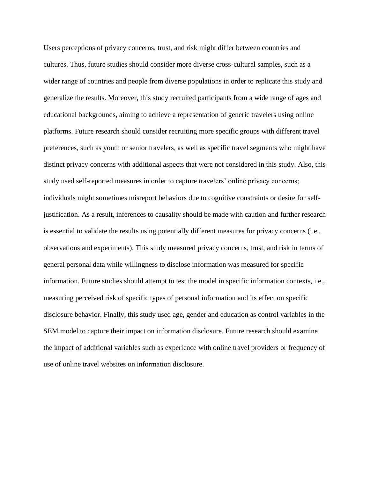Users perceptions of privacy concerns, trust, and risk might differ between countries and cultures. Thus, future studies should consider more diverse cross-cultural samples, such as a wider range of countries and people from diverse populations in order to replicate this study and generalize the results. Moreover, this study recruited participants from a wide range of ages and educational backgrounds, aiming to achieve a representation of generic travelers using online platforms. Future research should consider recruiting more specific groups with different travel preferences, such as youth or senior travelers, as well as specific travel segments who might have distinct privacy concerns with additional aspects that were not considered in this study. Also, this study used self-reported measures in order to capture travelers' online privacy concerns; individuals might sometimes misreport behaviors due to cognitive constraints or desire for selfjustification. As a result, inferences to causality should be made with caution and further research is essential to validate the results using potentially different measures for privacy concerns (i.e., observations and experiments). This study measured privacy concerns, trust, and risk in terms of general personal data while willingness to disclose information was measured for specific information. Future studies should attempt to test the model in specific information contexts, i.e., measuring perceived risk of specific types of personal information and its effect on specific disclosure behavior. Finally, this study used age, gender and education as control variables in the SEM model to capture their impact on information disclosure. Future research should examine the impact of additional variables such as experience with online travel providers or frequency of use of online travel websites on information disclosure.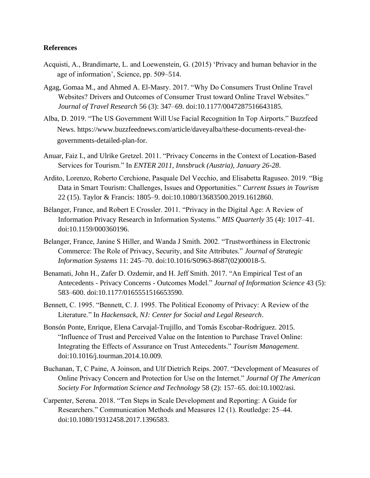#### **References**

- Acquisti, A., Brandimarte, L. and Loewenstein, G. (2015) 'Privacy and human behavior in the age of information', Science, pp. 509–514.
- Agag, Gomaa M., and Ahmed A. El-Masry. 2017. "Why Do Consumers Trust Online Travel Websites? Drivers and Outcomes of Consumer Trust toward Online Travel Websites." *Journal of Travel Research* 56 (3): 347–69. doi:10.1177/0047287516643185.
- Alba, D. 2019. "The US Government Will Use Facial Recognition In Top Airports." Buzzfeed News. https://www.buzzfeednews.com/article/daveyalba/these-documents-reveal-thegovernments-detailed-plan-for.
- Anuar, Faiz I., and Ulrike Gretzel. 2011. "Privacy Concerns in the Context of Location-Based Services for Tourism." In *ENTER 2011, Innsbruck (Austria), January 26-28*.
- Ardito, Lorenzo, Roberto Cerchione, Pasquale Del Vecchio, and Elisabetta Raguseo. 2019. "Big Data in Smart Tourism: Challenges, Issues and Opportunities." *Current Issues in Tourism* 22 (15). Taylor & Francis: 1805–9. doi:10.1080/13683500.2019.1612860.
- Bélanger, France, and Robert E Crossler. 2011. "Privacy in the Digital Age: A Review of Information Privacy Research in Information Systems." *MIS Quarterly* 35 (4): 1017–41. doi:10.1159/000360196.
- Belanger, France, Janine S Hiller, and Wanda J Smith. 2002. "Trustworthiness in Electronic Commerce: The Role of Privacy, Security, and Site Attributes." *Journal of Strategic Information Systems* 11: 245–70. doi:10.1016/S0963-8687(02)00018-5.
- Benamati, John H., Zafer D. Ozdemir, and H. Jeff Smith. 2017. "An Empirical Test of an Antecedents - Privacy Concerns - Outcomes Model." *Journal of Information Science* 43 (5): 583–600. doi:10.1177/0165551516653590.
- Bennett, C. 1995. "Bennett, C. J. 1995. The Political Economy of Privacy: A Review of the Literature." In *Hackensack, NJ: Center for Social and Legal Research*.
- Bonsón Ponte, Enrique, Elena Carvajal-Trujillo, and Tomás Escobar-Rodríguez. 2015. "Influence of Trust and Perceived Value on the Intention to Purchase Travel Online: Integrating the Effects of Assurance on Trust Antecedents." *Tourism Management*. doi:10.1016/j.tourman.2014.10.009.
- Buchanan, T, C Paine, A Joinson, and Ulf Dietrich Reips. 2007. "Development of Measures of Online Privacy Concern and Protection for Use on the Internet." *Journal Of The American Society For Information Science and Technology* 58 (2): 157–65. doi:10.1002/asi.
- Carpenter, Serena. 2018. "Ten Steps in Scale Development and Reporting: A Guide for Researchers." Communication Methods and Measures 12 (1). Routledge: 25–44. doi:10.1080/19312458.2017.1396583.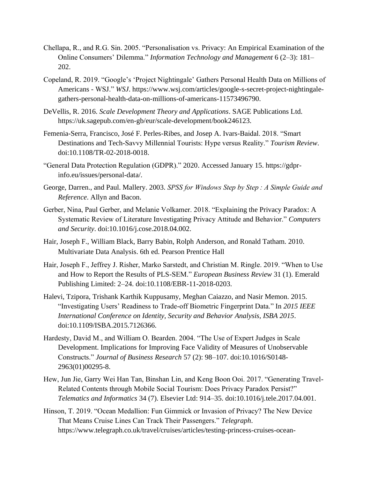- Chellapa, R., and R.G. Sin. 2005. "Personalisation vs. Privacy: An Empirical Examination of the Online Consumers' Dilemma." *Information Technology and Management* 6 (2–3): 181– 202.
- Copeland, R. 2019. "Google's 'Project Nightingale' Gathers Personal Health Data on Millions of Americans - WSJ." *WSJ*. https://www.wsj.com/articles/google-s-secret-project-nightingalegathers-personal-health-data-on-millions-of-americans-11573496790.
- DeVellis, R. 2016. *Scale Development Theory and Applications*. SAGE Publications Ltd. https://uk.sagepub.com/en-gb/eur/scale-development/book246123.
- Femenia-Serra, Francisco, José F. Perles-Ribes, and Josep A. Ivars-Baidal. 2018. "Smart Destinations and Tech-Savvy Millennial Tourists: Hype versus Reality." *Tourism Review*. doi:10.1108/TR-02-2018-0018.
- "General Data Protection Regulation (GDPR)." 2020. Accessed January 15. https://gdprinfo.eu/issues/personal-data/.
- George, Darren., and Paul. Mallery. 2003. *SPSS for Windows Step by Step : A Simple Guide and Reference*. Allyn and Bacon.
- Gerber, Nina, Paul Gerber, and Melanie Volkamer. 2018. "Explaining the Privacy Paradox: A Systematic Review of Literature Investigating Privacy Attitude and Behavior." *Computers and Security*. doi:10.1016/j.cose.2018.04.002.
- Hair, Joseph F., William Black, Barry Babin, Rolph Anderson, and Ronald Tatham. 2010. Multivariate Data Analysis. 6th ed. Pearson Prentice Hall
- Hair, Joseph F., Jeffrey J. Risher, Marko Sarstedt, and Christian M. Ringle. 2019. "When to Use and How to Report the Results of PLS-SEM." *European Business Review* 31 (1). Emerald Publishing Limited: 2–24. doi:10.1108/EBR-11-2018-0203.
- Halevi, Tzipora, Trishank Karthik Kuppusamy, Meghan Caiazzo, and Nasir Memon. 2015. "Investigating Users' Readiness to Trade-off Biometric Fingerprint Data." In *2015 IEEE International Conference on Identity, Security and Behavior Analysis, ISBA 2015*. doi:10.1109/ISBA.2015.7126366.
- Hardesty, David M., and William O. Bearden. 2004. "The Use of Expert Judges in Scale Development. Implications for Improving Face Validity of Measures of Unobservable Constructs." *Journal of Business Research* 57 (2): 98–107. doi:10.1016/S0148- 2963(01)00295-8.
- Hew, Jun Jie, Garry Wei Han Tan, Binshan Lin, and Keng Boon Ooi. 2017. "Generating Travel-Related Contents through Mobile Social Tourism: Does Privacy Paradox Persist?" *Telematics and Informatics* 34 (7). Elsevier Ltd: 914–35. doi:10.1016/j.tele.2017.04.001.
- Hinson, T. 2019. "Ocean Medallion: Fun Gimmick or Invasion of Privacy? The New Device That Means Cruise Lines Can Track Their Passengers." *Telegraph*. https://www.telegraph.co.uk/travel/cruises/articles/testing-princess-cruises-ocean-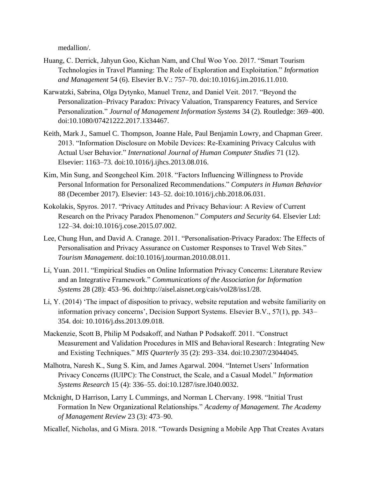medallion/.

- Huang, C. Derrick, Jahyun Goo, Kichan Nam, and Chul Woo Yoo. 2017. "Smart Tourism Technologies in Travel Planning: The Role of Exploration and Exploitation." *Information and Management* 54 (6). Elsevier B.V.: 757–70. doi:10.1016/j.im.2016.11.010.
- Karwatzki, Sabrina, Olga Dytynko, Manuel Trenz, and Daniel Veit. 2017. "Beyond the Personalization–Privacy Paradox: Privacy Valuation, Transparency Features, and Service Personalization." *Journal of Management Information Systems* 34 (2). Routledge: 369–400. doi:10.1080/07421222.2017.1334467.
- Keith, Mark J., Samuel C. Thompson, Joanne Hale, Paul Benjamin Lowry, and Chapman Greer. 2013. "Information Disclosure on Mobile Devices: Re-Examining Privacy Calculus with Actual User Behavior." *International Journal of Human Computer Studies* 71 (12). Elsevier: 1163–73. doi:10.1016/j.ijhcs.2013.08.016.
- Kim, Min Sung, and Seongcheol Kim. 2018. "Factors Influencing Willingness to Provide Personal Information for Personalized Recommendations." *Computers in Human Behavior* 88 (December 2017). Elsevier: 143–52. doi:10.1016/j.chb.2018.06.031.
- Kokolakis, Spyros. 2017. "Privacy Attitudes and Privacy Behaviour: A Review of Current Research on the Privacy Paradox Phenomenon." *Computers and Security* 64. Elsevier Ltd: 122–34. doi:10.1016/j.cose.2015.07.002.
- Lee, Chung Hun, and David A. Cranage. 2011. "Personalisation-Privacy Paradox: The Effects of Personalisation and Privacy Assurance on Customer Responses to Travel Web Sites." *Tourism Management*. doi:10.1016/j.tourman.2010.08.011.
- Li, Yuan. 2011. "Empirical Studies on Online Information Privacy Concerns: Literature Review and an Integrative Framework." *Communications of the Association for Information Systems* 28 (28): 453–96. doi:http://aisel.aisnet.org/cais/vol28/iss1/28.
- Li, Y. (2014) 'The impact of disposition to privacy, website reputation and website familiarity on information privacy concerns', Decision Support Systems. Elsevier B.V., 57(1), pp. 343– 354. doi: 10.1016/j.dss.2013.09.018.
- Mackenzie, Scott B, Philip M Podsakoff, and Nathan P Podsakoff. 2011. "Construct Measurement and Validation Procedures in MIS and Behavioral Research : Integrating New and Existing Techniques." *MIS Quarterly* 35 (2): 293–334. doi:10.2307/23044045.
- Malhotra, Naresh K., Sung S. Kim, and James Agarwal. 2004. "Internet Users' Information Privacy Concerns (IUIPC): The Construct, the Scale, and a Casual Model." *Information Systems Research* 15 (4): 336–55. doi:10.1287/isre.l040.0032.
- Mcknight, D Harrison, Larry L Cummings, and Norman L Chervany. 1998. "Initial Trust Formation In New Organizational Relationships." *Academy of Management. The Academy of Management Review* 23 (3): 473–90.

Micallef, Nicholas, and G Misra. 2018. "Towards Designing a Mobile App That Creates Avatars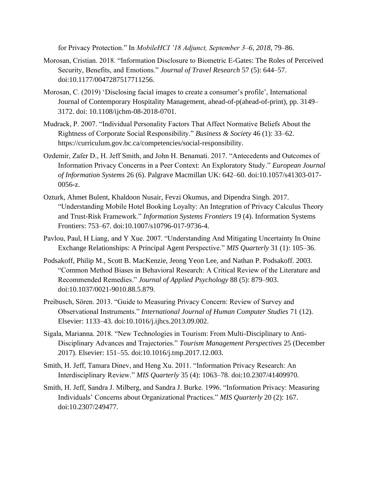for Privacy Protection." In *MobileHCI '18 Adjunct, September 3–6, 2018,* 79–86.

- Morosan, Cristian. 2018. "Information Disclosure to Biometric E-Gates: The Roles of Perceived Security, Benefits, and Emotions." *Journal of Travel Research* 57 (5): 644–57. doi:10.1177/0047287517711256.
- Morosan, C. (2019) 'Disclosing facial images to create a consumer's profile', International Journal of Contemporary Hospitality Management, ahead-of-p(ahead-of-print), pp. 3149– 3172. doi: 10.1108/ijchm-08-2018-0701.
- Mudrack, P. 2007. "Individual Personality Factors That Affect Normative Beliefs About the Rightness of Corporate Social Responsibility." *Business & Society* 46 (1): 33–62. https://curriculum.gov.bc.ca/competencies/social-responsibility.
- Ozdemir, Zafer D., H. Jeff Smith, and John H. Benamati. 2017. "Antecedents and Outcomes of Information Privacy Concerns in a Peer Context: An Exploratory Study." *European Journal of Information Systems* 26 (6). Palgrave Macmillan UK: 642–60. doi:10.1057/s41303-017- 0056-z.
- Ozturk, Ahmet Bulent, Khaldoon Nusair, Fevzi Okumus, and Dipendra Singh. 2017. "Understanding Mobile Hotel Booking Loyalty: An Integration of Privacy Calculus Theory and Trust-Risk Framework." *Information Systems Frontiers* 19 (4). Information Systems Frontiers: 753–67. doi:10.1007/s10796-017-9736-4.
- Pavlou, Paul, H Liang, and Y Xue. 2007. "Understanding And Mitigating Uncertainty In Onine Exchange Relationships: A Principal Agent Perspective." *MIS Quarterly* 31 (1): 105–36.
- Podsakoff, Philip M., Scott B. MacKenzie, Jeong Yeon Lee, and Nathan P. Podsakoff. 2003. "Common Method Biases in Behavioral Research: A Critical Review of the Literature and Recommended Remedies." *Journal of Applied Psychology* 88 (5): 879–903. doi:10.1037/0021-9010.88.5.879.
- Preibusch, Sören. 2013. "Guide to Measuring Privacy Concern: Review of Survey and Observational Instruments." *International Journal of Human Computer Studies* 71 (12). Elsevier: 1133–43. doi:10.1016/j.ijhcs.2013.09.002.
- Sigala, Marianna. 2018. "New Technologies in Tourism: From Multi-Disciplinary to Anti-Disciplinary Advances and Trajectories." *Tourism Management Perspectives* 25 (December 2017). Elsevier: 151–55. doi:10.1016/j.tmp.2017.12.003.
- Smith, H. Jeff, Tamara Dinev, and Heng Xu. 2011. "Information Privacy Research: An Interdisciplinary Review." *MIS Quarterly* 35 (4): 1063–78. doi:10.2307/41409970.
- Smith, H. Jeff, Sandra J. Milberg, and Sandra J. Burke. 1996. "Information Privacy: Measuring Individuals' Concerns about Organizational Practices." *MIS Quarterly* 20 (2): 167. doi:10.2307/249477.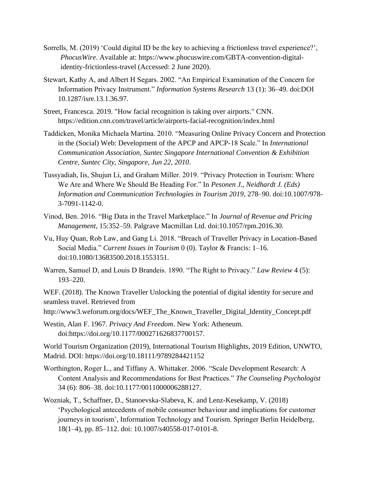- Sorrells, M. (2019) 'Could digital ID be the key to achieving a frictionless travel experience?', *PhocusWire*. Available at: https://www.phocuswire.com/GBTA-convention-digitalidentity-frictionless-travel (Accessed: 2 June 2020).
- Stewart, Kathy A, and Albert H Segars. 2002. "An Empirical Examination of the Concern for Information Privacy Instrument." *Information Systems Research* 13 (1): 36–49. doi:DOI 10.1287/isre.13.1.36.97.
- Street, Francesca. 2019. "How facial recognition is taking over airports." CNN. https://edition.cnn.com/travel/article/airports-facial-recognition/index.html
- Taddicken, Monika Michaela Martina. 2010. "Measuring Online Privacy Concern and Protection in the (Social) Web: Development of the APCP and APCP-18 Scale." In *International Communication Association, Suntec Singapore International Convention & Exhibition Centre, Suntec City, Singapore, Jun 22, 2010*.
- Tussyadiah, Iis, Shujun Li, and Graham Miller. 2019. "Privacy Protection in Tourism: Where We Are and Where We Should Be Heading For." In *Pesonen J., Neidhardt J. (Eds) Information and Communication Technologies in Tourism 2019*, 278–90. doi:10.1007/978- 3-7091-1142-0.
- Vinod, Ben. 2016. "Big Data in the Travel Marketplace." In *Journal of Revenue and Pricing Management*, 15:352–59. Palgrave Macmillan Ltd. doi:10.1057/rpm.2016.30.
- Vu, Huy Quan, Rob Law, and Gang Li. 2018. "Breach of Traveller Privacy in Location-Based Social Media." *Current Issues in Tourism* 0 (0). Taylor & Francis: 1–16. doi:10.1080/13683500.2018.1553151.
- Warren, Samuel D, and Louis D Brandeis. 1890. "The Right to Privacy." *Law Review* 4 (5): 193–220.

WEF. (2018). The Known Traveller Unlocking the potential of digital identity for secure and seamless travel. Retrieved from

http://www3.weforum.org/docs/WEF\_The\_Known\_Traveller\_Digital\_Identity\_Concept.pdf

Westin, Alan F. 1967. *Privacy And Freedom*. New York: Atheneum. doi:https://doi.org/10.1177/000271626837700157.

World Tourism Organization (2019), International Tourism Highlights, 2019 Edition, UNWTO, Madrid. DOI: <https://doi.org/10.18111/9789284421152>

- Worthington, Roger L., and Tiffany A. Whittaker. 2006. "Scale Development Research: A Content Analysis and Recommendations for Best Practices." *The Counseling Psychologist* 34 (6): 806–38. doi:10.1177/0011000006288127.
- Wozniak, T., Schaffner, D., Stanoevska-Slabeva, K. and Lenz-Kesekamp, V. (2018) 'Psychological antecedents of mobile consumer behaviour and implications for customer journeys in tourism', Information Technology and Tourism. Springer Berlin Heidelberg, 18(1–4), pp. 85–112. doi: 10.1007/s40558-017-0101-8.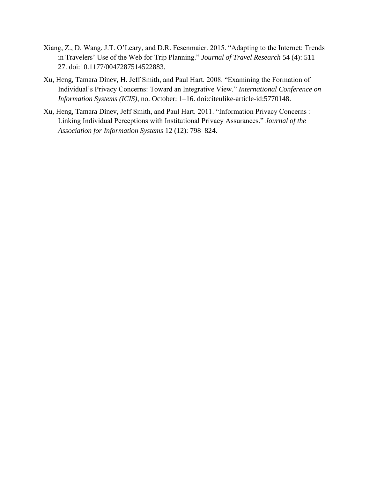- Xiang, Z., D. Wang, J.T. O'Leary, and D.R. Fesenmaier. 2015. "Adapting to the Internet: Trends in Travelers' Use of the Web for Trip Planning." *Journal of Travel Research* 54 (4): 511– 27. doi:10.1177/0047287514522883.
- Xu, Heng, Tamara Dinev, H. Jeff Smith, and Paul Hart. 2008. "Examining the Formation of Individual's Privacy Concerns: Toward an Integrative View." *International Conference on Information Systems (ICIS)*, no. October: 1–16. doi:citeulike-article-id:5770148.
- Xu, Heng, Tamara Dinev, Jeff Smith, and Paul Hart. 2011. "Information Privacy Concerns : Linking Individual Perceptions with Institutional Privacy Assurances." *Journal of the Association for Information Systems* 12 (12): 798–824.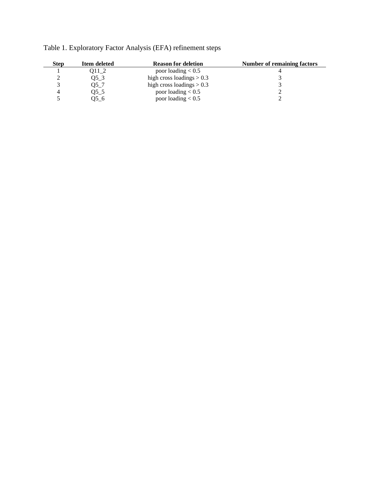| <b>Step</b> | Item deleted | <b>Reason for deletion</b>  | Number of remaining factors |
|-------------|--------------|-----------------------------|-----------------------------|
|             | Q11 2        | poor loading $< 0.5$        |                             |
|             | Q53          | high cross loadings $> 0.3$ |                             |
|             | Q5 7         | high cross loadings $> 0.3$ |                             |
|             | Q5_5         | poor loading $< 0.5$        |                             |
|             | Q56          | poor loading $< 0.5$        |                             |

Table 1. Exploratory Factor Analysis (EFA) refinement steps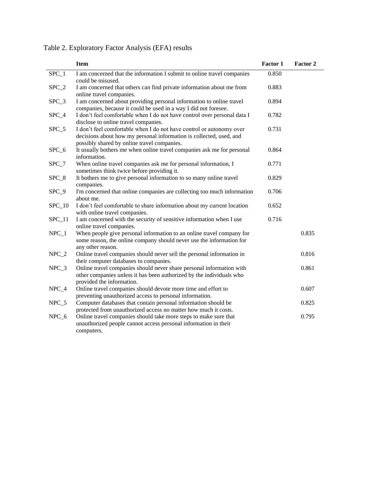|          | <b>Item</b>                                                                                                                                                                                | Factor 1 | Factor 2 |
|----------|--------------------------------------------------------------------------------------------------------------------------------------------------------------------------------------------|----------|----------|
| $SPC_1$  | I am concerned that the information I submit to online travel companies<br>could be misused.                                                                                               | 0.850    |          |
| $SPC_2$  | I am concerned that others can find private information about me from<br>online travel companies.                                                                                          | 0.883    |          |
| $SPC_3$  | I am concerned about providing personal information to online travel<br>companies, because it could be used in a way I did not foresee.                                                    | 0.894    |          |
| $SPC_4$  | I don't feel comfortable when I do not have control over personal data I<br>disclose to online travel companies.                                                                           | 0.782    |          |
| $SPC_5$  | I don't feel comfortable when I do not have control or autonomy over<br>decisions about how my personal information is collected, used, and<br>possibly shared by online travel companies. | 0.731    |          |
| $SPC_6$  | It usually bothers me when online travel companies ask me for personal<br>information.                                                                                                     | 0.864    |          |
| $SPC_7$  | When online travel companies ask me for personal information, I<br>sometimes think twice before providing it.                                                                              | 0.771    |          |
| $SPC_8$  | It bothers me to give personal information to so many online travel<br>companies.                                                                                                          | 0.829    |          |
| SPC_9    | I'm concerned that online companies are collecting too much information<br>about me.                                                                                                       | 0.706    |          |
| $SPC_10$ | I don't feel comfortable to share information about my current location<br>with online travel companies.                                                                                   | 0.652    |          |
| $SPC_11$ | I am concerned with the security of sensitive information when I use<br>online travel companies.                                                                                           | 0.716    |          |
| $NPC_1$  | When people give personal information to an online travel company for<br>some reason, the online company should never use the information for<br>any other reason.                         |          | 0.835    |
| $NPC_2$  | Online travel companies should never sell the personal information in<br>their computer databases to companies.                                                                            |          | 0.816    |
| $NPC_3$  | Online travel companies should never share personal information with<br>other companies unless it has been authorized by the individuals who<br>provided the information.                  |          | 0.861    |
| $NPC_4$  | Online travel companies should devote more time and effort to<br>preventing unauthorized access to personal information.                                                                   |          | 0.607    |
| $NPC_5$  | Computer databases that contain personal information should be<br>protected from unauthorized access no matter how much it costs.                                                          |          | 0.825    |
| $NPC_6$  | Online travel companies should take more steps to make sure that<br>unauthorized people cannot access personal information in their<br>computers.                                          |          | 0.795    |

Table 2. Exploratory Factor Analysis (EFA) results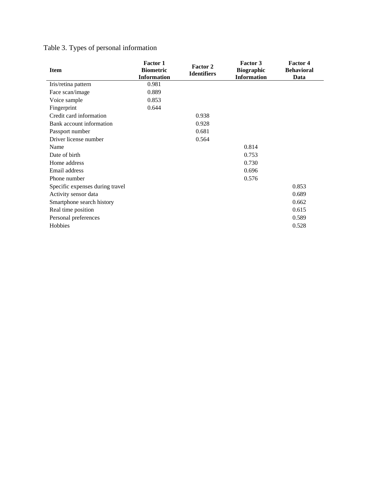|  | Table 3. Types of personal information |  |
|--|----------------------------------------|--|
|  |                                        |  |

| <b>Item</b>                     | <b>Factor 1</b><br><b>Biometric</b><br><b>Information</b> | Factor 2<br><b>Identifiers</b> | Factor 3<br><b>Biographic</b><br><b>Information</b> | <b>Factor 4</b><br><b>Behavioral</b><br>Data |
|---------------------------------|-----------------------------------------------------------|--------------------------------|-----------------------------------------------------|----------------------------------------------|
| Iris/retina pattern             | 0.981                                                     |                                |                                                     |                                              |
| Face scan/image                 | 0.889                                                     |                                |                                                     |                                              |
| Voice sample                    | 0.853                                                     |                                |                                                     |                                              |
| Fingerprint                     | 0.644                                                     |                                |                                                     |                                              |
| Credit card information         |                                                           | 0.938                          |                                                     |                                              |
| Bank account information        |                                                           | 0.928                          |                                                     |                                              |
| Passport number                 |                                                           | 0.681                          |                                                     |                                              |
| Driver license number           |                                                           | 0.564                          |                                                     |                                              |
| Name                            |                                                           |                                | 0.814                                               |                                              |
| Date of birth                   |                                                           |                                | 0.753                                               |                                              |
| Home address                    |                                                           |                                | 0.730                                               |                                              |
| Email address                   |                                                           |                                | 0.696                                               |                                              |
| Phone number                    |                                                           |                                | 0.576                                               |                                              |
| Specific expenses during travel |                                                           |                                |                                                     | 0.853                                        |
| Activity sensor data            |                                                           |                                |                                                     | 0.689                                        |
| Smartphone search history       |                                                           |                                |                                                     | 0.662                                        |
| Real time position              |                                                           |                                |                                                     | 0.615                                        |
| Personal preferences            |                                                           |                                |                                                     | 0.589                                        |
| Hobbies                         |                                                           |                                |                                                     | 0.528                                        |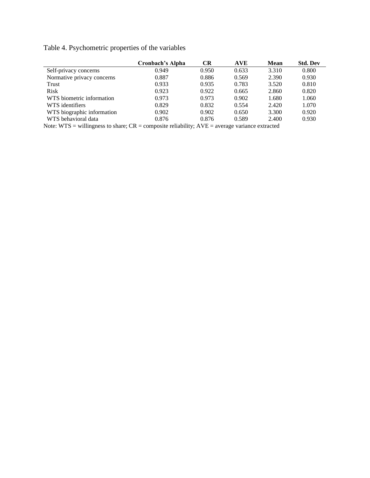Table 4. Psychometric properties of the variables

|                                                                                                             | Cronbach's Alpha   | <b>CR</b> | <b>AVE</b> | <b>Mean</b> | <b>Std. Dev</b> |
|-------------------------------------------------------------------------------------------------------------|--------------------|-----------|------------|-------------|-----------------|
| Self-privacy concerns                                                                                       | 0.949              | 0.950     | 0.633      | 3.310       | 0.800           |
| Normative privacy concerns                                                                                  | 0.887              | 0.886     | 0.569      | 2.390       | 0.930           |
| Trust                                                                                                       | 0.933              | 0.935     | 0.783      | 3.520       | 0.810           |
| <b>Risk</b>                                                                                                 | 0.923              | 0.922     | 0.665      | 2.860       | 0.820           |
| WTS biometric information                                                                                   | 0.973              | 0.973     | 0.902      | 1.680       | 1.060           |
| WTS identifiers                                                                                             | 0.829              | 0.832     | 0.554      | 2.420       | 1.070           |
| WTS biographic information                                                                                  | 0.902              | 0.902     | 0.650      | 3.300       | 0.920           |
| WTS behavioral data                                                                                         | 0.876              | 0.876     | 0.589      | 2.400       | 0.930           |
| <br>$\mathbf{v}$ $\mathbf{v}$ $\mathbf{v}$ $\mathbf{v}$ $\mathbf{v}$ $\mathbf{v}$ $\mathbf{v}$ $\mathbf{v}$ | $\sim$ $\sim$<br>. | 1.77      |            |             |                 |

Note: WTS = willingness to share; CR = composite reliability; AVE = average variance extracted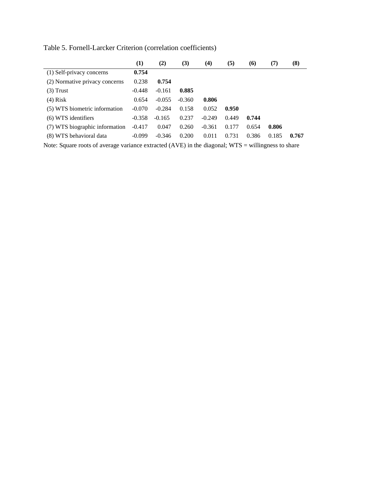|                                | $\left(1\right)$ | (2)      | (3)      | (4)      | (5)   | <b>(6)</b> | (7)   | (8)   |
|--------------------------------|------------------|----------|----------|----------|-------|------------|-------|-------|
| (1) Self-privacy concerns      | 0.754            |          |          |          |       |            |       |       |
| (2) Normative privacy concerns | 0.238            | 0.754    |          |          |       |            |       |       |
| $(3)$ Trust                    | $-0.448$         | $-0.161$ | 0.885    |          |       |            |       |       |
| $(4)$ Risk                     | 0.654            | $-0.055$ | $-0.360$ | 0.806    |       |            |       |       |
| (5) WTS biometric information  | $-0.070$         | $-0.284$ | 0.158    | 0.052    | 0.950 |            |       |       |
| (6) WTS identifiers            | $-0.358$         | $-0.165$ | 0.237    | $-0.249$ | 0.449 | 0.744      |       |       |
| (7) WTS biographic information | $-0.417$         | 0.047    | 0.260    | $-0.361$ | 0.177 | 0.654      | 0.806 |       |
| (8) WTS behavioral data        | $-0.099$         | $-0.346$ | 0.200    | 0.011    | 0.731 | 0.386      | 0.185 | 0.767 |

Table 5. Fornell-Larcker Criterion (correlation coefficients)

Note: Square roots of average variance extracted (AVE) in the diagonal; WTS = willingness to share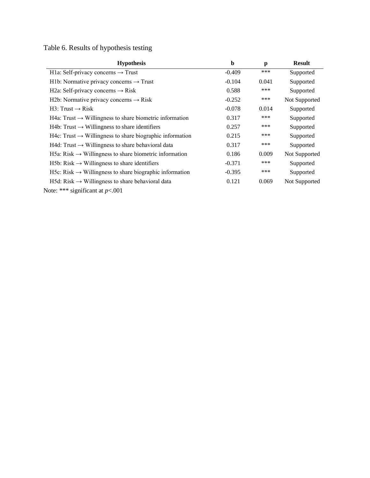Table 6. Results of hypothesis testing

| <b>Hypothesis</b>                                                       | b        | p     | <b>Result</b> |
|-------------------------------------------------------------------------|----------|-------|---------------|
| H1a: Self-privacy concerns $\rightarrow$ Trust                          | $-0.409$ | ***   | Supported     |
| H1b: Normative privacy concerns $\rightarrow$ Trust                     | $-0.104$ | 0.041 | Supported     |
| H2a: Self-privacy concerns $\rightarrow$ Risk                           | 0.588    | ***   | Supported     |
| H2b: Normative privacy concerns $\rightarrow$ Risk                      | $-0.252$ | ***   | Not Supported |
| $H3: Trust \rightarrow Risk$                                            | $-0.078$ | 0.014 | Supported     |
| H4a: Trust $\rightarrow$ Willingness to share biometric information     | 0.317    | ***   | Supported     |
| $H4b$ : Trust $\rightarrow$ Willingness to share identifiers            | 0.257    | ***   | Supported     |
| $H4c$ : Trust $\rightarrow$ Willingness to share biographic information | 0.215    | ***   | Supported     |
| $H4d$ : Trust $\rightarrow$ Willingness to share behavioral data        | 0.317    | ***   | Supported     |
| H5a: Risk $\rightarrow$ Willingness to share biometric information      | 0.186    | 0.009 | Not Supported |
| $H5b: Risk \rightarrow Williams$ ness to share identifiers              | $-0.371$ | ***   | Supported     |
| H5c: Risk $\rightarrow$ Willingness to share biographic information     | $-0.395$ | ***   | Supported     |
| $H5d: Risk \rightarrow Williamsness$ to share behavioral data           | 0.121    | 0.069 | Not Supported |
| Note: *** significant at $p<.001$                                       |          |       |               |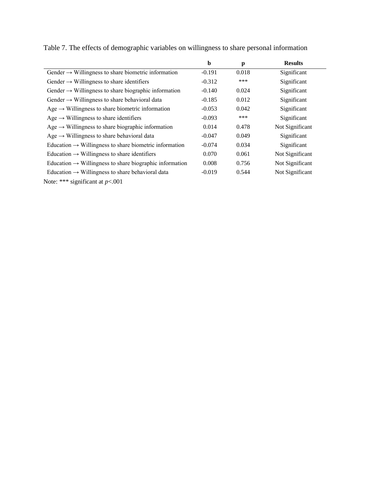|                                                                     | $\mathbf b$ | p     | <b>Results</b>  |
|---------------------------------------------------------------------|-------------|-------|-----------------|
| Gender $\rightarrow$ Willingness to share biometric information     | $-0.191$    | 0.018 | Significant     |
| Gender $\rightarrow$ Willingness to share identifiers               | $-0.312$    | $***$ | Significant     |
| Gender $\rightarrow$ Willingness to share biographic information    | $-0.140$    | 0.024 | Significant     |
| Gender $\rightarrow$ Willingness to share behavioral data           | $-0.185$    | 0.012 | Significant     |
| Age $\rightarrow$ Willingness to share biometric information        | $-0.053$    | 0.042 | Significant     |
| Age $\rightarrow$ Willingness to share identifiers                  | $-0.093$    | ***   | Significant     |
| Age $\rightarrow$ Willingness to share biographic information       | 0.014       | 0.478 | Not Significant |
| Age $\rightarrow$ Willingness to share behavioral data              | $-0.047$    | 0.049 | Significant     |
| Education $\rightarrow$ Willingness to share biometric information  | $-0.074$    | 0.034 | Significant     |
| Education $\rightarrow$ Willingness to share identifiers            | 0.070       | 0.061 | Not Significant |
| Education $\rightarrow$ Willingness to share biographic information | 0.008       | 0.756 | Not Significant |
| Education $\rightarrow$ Willingness to share behavioral data        | $-0.019$    | 0.544 | Not Significant |
| Note: *** significant at $p<.001$                                   |             |       |                 |

Table 7. The effects of demographic variables on willingness to share personal information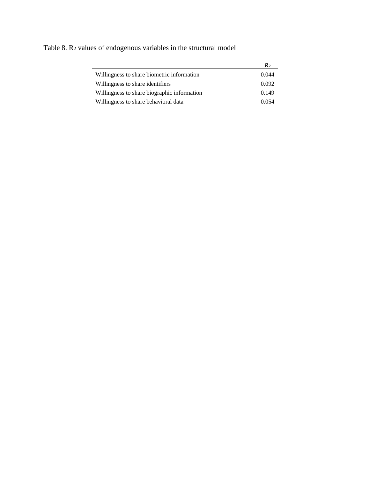|                                             | $\mathbb{R}_2$ |
|---------------------------------------------|----------------|
| Willingness to share biometric information  | 0.044          |
| Willingness to share identifiers            | 0.092          |
| Willingness to share biographic information | 0.149          |
| Willingness to share behavioral data        | 0.054          |

Table 8. R<sup>2</sup> values of endogenous variables in the structural model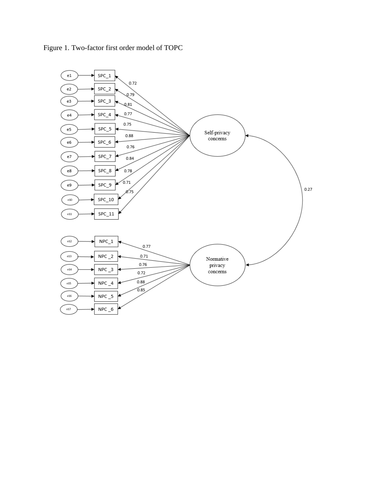

Figure 1. Two-factor first order model of TOPC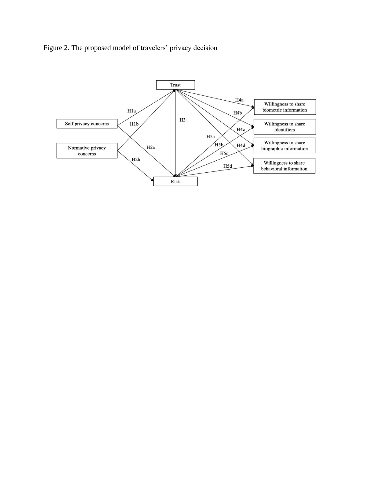

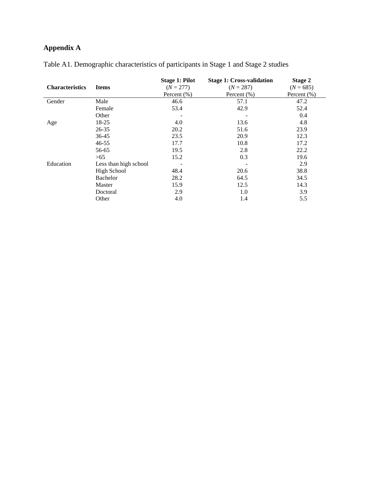# **Appendix A**

|                        |                       | <b>Stage 1: Pilot</b> | <b>Stage 1: Cross-validation</b> | <b>Stage 2</b> |
|------------------------|-----------------------|-----------------------|----------------------------------|----------------|
| <b>Characteristics</b> | <b>Items</b>          | $(N = 277)$           | $(N = 287)$                      | $(N = 685)$    |
|                        |                       | Percent $(\% )$       | Percent $(\%)$                   | Percent (%)    |
| Gender                 | Male                  | 46.6                  | 57.1                             | 47.2           |
|                        | Female                | 53.4                  | 42.9                             | 52.4           |
|                        | Other                 | -                     |                                  | 0.4            |
| Age                    | 18-25                 | 4.0                   | 13.6                             | 4.8            |
|                        | $26 - 35$             | 20.2                  | 51.6                             | 23.9           |
|                        | 36-45                 | 23.5                  | 20.9                             | 12.3           |
|                        | $46 - 55$             | 17.7                  | 10.8                             | 17.2           |
|                        | 56-65                 | 19.5                  | 2.8                              | 22.2           |
|                        | >65                   | 15.2                  | 0.3                              | 19.6           |
| Education              | Less than high school |                       |                                  | 2.9            |
|                        | <b>High School</b>    | 48.4                  | 20.6                             | 38.8           |
|                        | Bachelor              | 28.2                  | 64.5                             | 34.5           |
|                        | Master                | 15.9                  | 12.5                             | 14.3           |
|                        | Doctoral              | 2.9                   | 1.0                              | 3.9            |
|                        | Other                 | 4.0                   | 1.4                              | 5.5            |

Table A1. Demographic characteristics of participants in Stage 1 and Stage 2 studies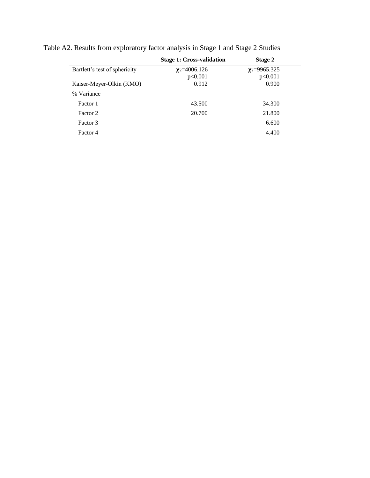|                               | <b>Stage 1: Cross-validation</b> | Stage 2                       |  |
|-------------------------------|----------------------------------|-------------------------------|--|
| Bartlett's test of sphericity | $\chi$ <sub>2</sub> =4006.126    | $\chi$ <sub>2</sub> =9965.325 |  |
|                               | p<0.001                          | p<0.001                       |  |
| Kaiser-Meyer-Olkin (KMO)      | 0.912                            | 0.900                         |  |
| % Variance                    |                                  |                               |  |
| Factor 1                      | 43.500                           | 34.300                        |  |
| Factor 2                      | 20.700                           | 21.800                        |  |
| Factor 3                      |                                  | 6.600                         |  |
| Factor 4                      |                                  | 4.400                         |  |

Table A2. Results from exploratory factor analysis in Stage 1 and Stage 2 Studies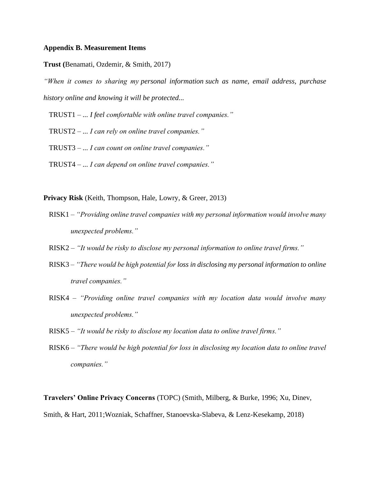#### **Appendix B. Measurement Items**

**Trust (**Benamati, Ozdemir, & Smith, 2017)

*"When it comes to sharing my personal information such as name, email address, purchase history online and knowing it will be protected...*

TRUST1 *– ... I feel comfortable with online travel companies."*

TRUST2 *– ... I can rely on online travel companies."*

TRUST3 *– ... I can count on online travel companies."*

TRUST4 *– ... I can depend on online travel companies."*

**Privacy Risk** (Keith, Thompson, Hale, Lowry, & Greer, 2013)

- RISK1 *– "Providing online travel companies with my personal information would involve many unexpected problems."*
- RISK2 *– "It would be risky to disclose my personal information to online travel firms."*
- RISK3 *– "There would be high potential for loss in disclosing my personal information to online travel companies."*
- RISK4 *– "Providing online travel companies with my location data would involve many unexpected problems."*
- RISK5 *– "It would be risky to disclose my location data to online travel firms."*
- RISK6 *– "There would be high potential for loss in disclosing my location data to online travel companies."*

**Travelers' Online Privacy Concerns** (TOPC) (Smith, Milberg, & Burke, 1996; Xu, Dinev,

Smith, & Hart, 2011;Wozniak, Schaffner, Stanoevska-Slabeva, & Lenz-Kesekamp, 2018)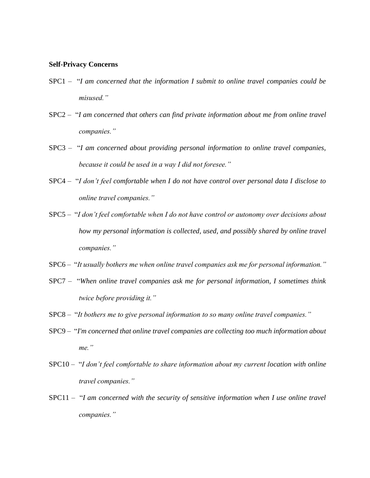#### **Self-Privacy Concerns**

- SPC1 "*I am concerned that the information I submit to online travel companies could be misused."*
- SPC2 "*I am concerned that others can find private information about me from online travel companies."*
- SPC3 "*I am concerned about providing personal information to online travel companies, because it could be used in a way I did not foresee."*
- SPC4 "*I don't feel comfortable when I do not have control over personal data I disclose to online travel companies."*
- SPC5 "*I don't feel comfortable when I do not have control or autonomy over decisions about how my personal information is collected, used, and possibly shared by online travel companies."*
- SPC6 "*It usually bothers me when online travel companies ask me for personal information."*
- SPC7 "*When online travel companies ask me for personal information, I sometimes think twice before providing it."*
- SPC8 "*It bothers me to give personal information to so many online travel companies."*
- SPC9 "*I'm concerned that online travel companies are collecting too much information about me."*
- SPC10 "*I don't feel comfortable to share information about my current location with online travel companies."*
- SPC11 "*I am concerned with the security of sensitive information when I use online travel companies."*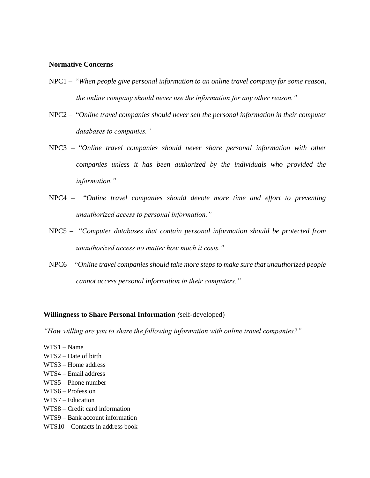#### **Normative Concerns**

- NPC1 "*When people give personal information to an online travel company for some reason, the online company should never use the information for any other reason."*
- NPC2 "*Online travel companies should never sell the personal information in their computer databases to companies."*
- NPC3 "*Online travel companies should never share personal information with other companies unless it has been authorized by the individuals who provided the information."*
- NPC4 "*Online travel companies should devote more time and effort to preventing unauthorized access to personal information."*
- NPC5 "*Computer databases that contain personal information should be protected from unauthorized access no matter how much it costs."*
- NPC6 "*Online travel companies should take more steps to make sure that unauthorized people cannot access personal information in their computers."*

#### **Willingness to Share Personal Information** *(*self-developed)

*"How willing are you to share the following information with online travel companies?"*

- WTS1 Name WTS2 – Date of birth WTS3 – Home address WTS4 – Email address WTS5 – Phone number WTS6 – Profession
- WTS7 Education
- WTS8 Credit card information
- WTS9 Bank account information
- WTS10 Contacts in address book